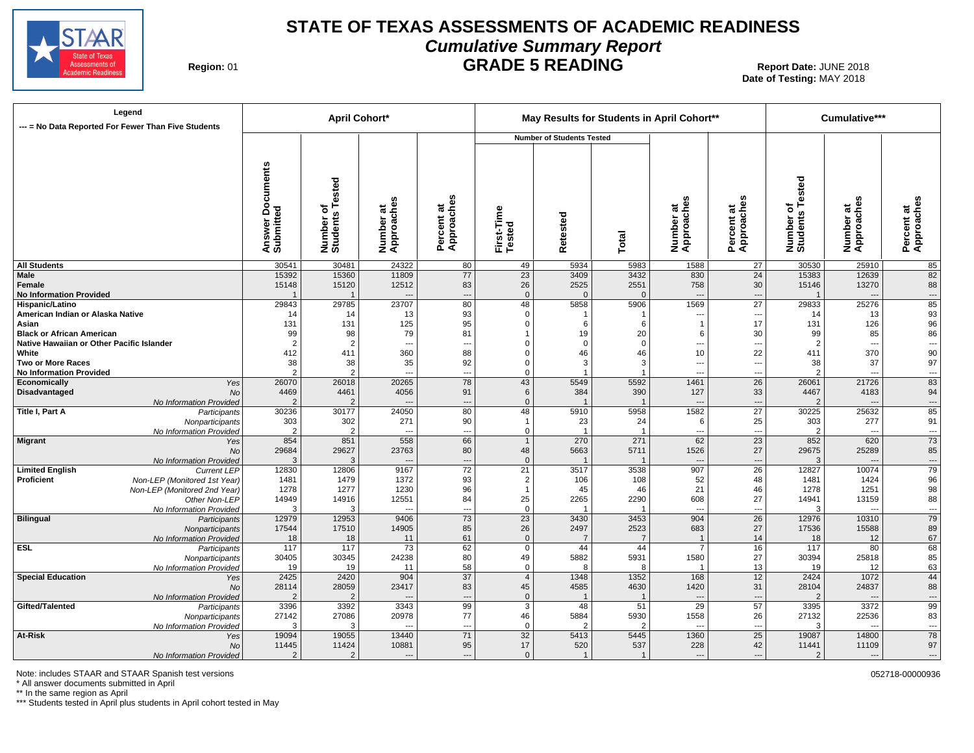

## **STATE OF TEXAS ASSESSMENTS OF ACADEMIC READINESS Cumulative Summary Report GRADE 5 READING** Report Date: JUNE 2018

**Region: 01** 

**Date of Testing:**  MAY 2018

| --- = No Data Reported For Fewer Than Five Students | Legend                                        |                                        | <b>April Cohort*</b>                 |                         |                          |                      |                                  |                  | May Results for Students in April Cohort** |                          |                              | Cumulative***                     |                                |
|-----------------------------------------------------|-----------------------------------------------|----------------------------------------|--------------------------------------|-------------------------|--------------------------|----------------------|----------------------------------|------------------|--------------------------------------------|--------------------------|------------------------------|-----------------------------------|--------------------------------|
|                                                     |                                               |                                        |                                      |                         |                          |                      | <b>Number of Students Tested</b> |                  |                                            |                          |                              |                                   |                                |
|                                                     |                                               | <b>Documents</b><br>Answer<br>Submitte | Tested<br>৳<br>Number of<br>Students | Number at<br>Approaches | Percent at<br>Approaches | First-Time<br>Tested | etested<br>œ                     | Total            | Number at<br>Approaches                    | Percent at<br>Approaches | Number of<br>Students Tested | U)<br>Number at<br>Approaches     | w<br>Percent at<br>Approaches  |
| <b>All Students</b>                                 |                                               | 30541                                  | 30481                                | 24322                   | 80                       | 49                   | 5934                             | 5983             | 1588                                       | 27                       | 30530                        | 25910                             | 85                             |
| Male                                                |                                               | 15392                                  | 15360                                | 11809                   | 77                       | 23                   | 3409                             | 3432             | 830                                        | 24                       | 15383                        | 12639                             | 82                             |
| Female                                              |                                               | 15148                                  | 15120                                | 12512                   | 83                       | 26                   | 2525<br>$\Omega$                 | 2551<br>$\Omega$ | 758                                        | 30                       | 15146                        | 13270                             | 88                             |
| <b>No Information Provided</b><br>Hispanic/Latino   |                                               | 29843                                  | $\overline{1}$<br>29785              | 23707                   | ---<br>80                | $\mathbf 0$<br>48    | 5858                             | 5906             | $\overline{\phantom{a}}$<br>1569           | ---<br>$\overline{27}$   | 29833                        | $\overline{\phantom{a}}$<br>25276 | ---<br>85                      |
| American Indian or Alaska Native                    |                                               | 14                                     | 14                                   | 13                      | 93                       | $\mathbf 0$          | -1                               | -1               | ---                                        | $\overline{a}$           | 14                           | 13                                | 93                             |
| Asian                                               |                                               | 131                                    | 131                                  | 125                     | 95                       | $\mathbf 0$          | 6                                | 6                | $\mathbf{1}$                               | 17                       | 131                          | 126                               | 96                             |
| <b>Black or African American</b>                    |                                               | 99                                     | 98                                   | 79                      | 81                       |                      | 19                               | 20               | 6                                          | 30                       | 99                           | 85                                | 86                             |
| Native Hawaiian or Other Pacific Islander           |                                               | $\overline{2}$                         | $\overline{2}$                       | $\overline{a}$          | ---                      | $\Omega$             | $\Omega$                         | $\mathbf 0$      | ---                                        | $\overline{a}$           | $\overline{2}$               | $\overline{a}$                    | $\overline{\phantom{a}}$       |
| White                                               |                                               | 412                                    | 411                                  | 360                     | 88                       | $\Omega$             | 46                               | 46               | 10                                         | 22                       | 411                          | 370                               | 90                             |
| <b>Two or More Races</b>                            |                                               | 38                                     | 38                                   | 35                      | 92                       | $\Omega$             | 3                                | 3                | ---                                        | ---                      | 38                           | 37                                | 97                             |
| <b>No Information Provided</b>                      |                                               | $\overline{2}$                         | $\overline{2}$                       | $\overline{a}$          | $\overline{\phantom{a}}$ | $\Omega$             |                                  |                  | $\overline{a}$                             | $\overline{\phantom{a}}$ |                              | $\overline{\phantom{a}}$          | $\overline{\phantom{a}}$       |
| Economically                                        | Yes                                           | 26070                                  | 26018<br>4461                        | 20265<br>4056           | 78<br>91                 | 43<br>6              | 5549<br>384                      | 5592<br>390      | 1461<br>127                                | $\overline{26}$<br>33    | 26061<br>4467                | 21726<br>4183                     | 83                             |
| Disadvantaged                                       | No<br>No Information Provided                 | 4469<br>$\mathcal{P}$                  | $\overline{2}$                       |                         | $\overline{a}$           | $\mathbf{0}$         |                                  |                  | $\overline{\phantom{a}}$                   | ---                      |                              | $\overline{\phantom{a}}$          | 94<br>$\overline{\phantom{a}}$ |
| Title I, Part A                                     | Participants                                  | 30236                                  | 30177                                | 24050                   | 80                       | 48                   | 5910                             | 5958             | 1582                                       | $\overline{27}$          | 30225                        | 25632                             | 85                             |
|                                                     | Nonparticipants                               | 303                                    | 302                                  | 271                     | 90                       | $\mathbf{1}$         | 23                               | 24               | 6                                          | 25                       | 303                          | 277                               | 91                             |
|                                                     | No Information Provided                       | $\overline{2}$                         | 2                                    |                         | ---                      | $\mathbf 0$          |                                  | $\overline{1}$   | $\overline{a}$                             | ---                      | $\overline{2}$               | $\overline{a}$                    | ---                            |
| Migrant                                             | Yes                                           | 854                                    | 851                                  | 558                     | 66                       | $\overline{1}$       | 270                              | 271              | 62                                         | $\overline{23}$          | 852                          | 620                               | 73                             |
|                                                     | <b>No</b>                                     | 29684                                  | 29627                                | 23763                   | 80                       | 48                   | 5663                             | 5711             | 1526                                       | 27                       | 29675                        | 25289                             | 85                             |
|                                                     | No Information Provided                       | 3                                      | 3                                    |                         | ---                      | $\mathbf{0}$         |                                  |                  | $\overline{\phantom{a}}$                   | ---                      | 3                            | ---                               | $\overline{\phantom{a}}$       |
| <b>Limited English</b>                              | <b>Current LEP</b>                            | 12830                                  | 12806                                | 9167                    | 72                       | $\overline{21}$      | 3517                             | 3538             | 907                                        | $\overline{26}$          | 12827                        | 10074                             | 79                             |
| Proficient                                          | Non-LEP (Monitored 1st Year)                  | 1481                                   | 1479                                 | 1372                    | 93                       | 2<br>$\mathbf{1}$    | 106                              | 108<br>46        | 52<br>21                                   | 48                       | 1481                         | 1424<br>1251                      | 96                             |
|                                                     | Non-LEP (Monitored 2nd Year)<br>Other Non-LEP | 1278<br>14949                          | 1277<br>14916                        | 1230<br>12551           | 96<br>84                 | 25                   | 45<br>2265                       | 2290             | 608                                        | 46<br>27                 | 1278<br>14941                | 13159                             | 98<br>88                       |
|                                                     | No Information Provided                       | 3                                      | 3                                    |                         | ---                      | $\mathbf 0$          |                                  |                  | $\overline{\phantom{a}}$                   | $\overline{a}$           |                              | $\overline{a}$                    | $\overline{\phantom{a}}$       |
| <b>Bilingual</b>                                    | Participants                                  | 12979                                  | 12953                                | 9406                    | 73                       | 23                   | 3430                             | 3453             | 904                                        | $\overline{26}$          | 12976                        | 10310                             | 79                             |
|                                                     | Nonparticipants                               | 17544                                  | 17510                                | 14905                   | 85                       | 26                   | 2497                             | 2523             | 683                                        | 27                       | 17536                        | 15588                             | 89                             |
|                                                     | No Information Provided                       | 18                                     | 18                                   | 11                      | 61                       | $\mathbf{0}$         | $\overline{7}$                   | $\overline{7}$   | $\overline{1}$                             | 14                       | 18                           | 12                                | 67                             |
| <b>ESL</b>                                          | Participants                                  | 117                                    | 117                                  | 73                      | 62                       | $\overline{0}$       | 44                               | 44               | $\overline{7}$                             | 16                       | 117                          | 80                                | 68                             |
|                                                     | Nonparticipants                               | 30405                                  | 30345                                | 24238                   | 80                       | 49                   | 5882                             | 5931             | 1580                                       | 27                       | 30394                        | 25818                             | 85                             |
|                                                     | No Information Provided                       | 19                                     | 19                                   | 11                      | 58                       | $\mathbf 0$          | $\mathsf{R}$                     | $\mathsf{R}$     | $\overline{1}$                             | 13                       | 19                           | 12                                | 63                             |
| <b>Special Education</b>                            | Yes<br><b>No</b>                              | 2425<br>28114                          | 2420<br>28059                        | 904<br>23417            | $\overline{37}$<br>83    | $\overline{4}$<br>45 | 1348<br>4585                     | 1352<br>4630     | 168<br>1420                                | $\overline{12}$<br>31    | 2424<br>28104                | 1072<br>24837                     | 44<br>88                       |
|                                                     | No Information Provided                       |                                        | $\overline{2}$                       |                         | ÷÷                       | $\overline{0}$       |                                  |                  | ---                                        | ---                      |                              | $\overline{a}$                    | ---                            |
| Gifted/Talented                                     | Participants                                  | 3396                                   | 3392                                 | 3343                    | 99                       | $\overline{3}$       | 48                               | 51               | 29                                         | $\overline{57}$          | 3395                         | 3372                              | 99                             |
|                                                     | Nonparticipants                               | 27142                                  | 27086                                | 20978                   | 77                       | 46                   | 5884                             | 5930             | 1558                                       | 26                       | 27132                        | 22536                             | 83                             |
|                                                     | No Information Provided                       | 3                                      | 3                                    |                         | -−                       | $\mathbf 0$          | $\mathcal{P}$                    | $\mathcal{P}$    | $\sim$                                     | $\overline{a}$           | 3                            | $\sim$                            |                                |
| At-Risk                                             | Yes                                           | 19094                                  | 19055                                | 13440                   | 71                       | $\overline{32}$      | 5413                             | 5445             | 1360                                       | 25                       | 19087                        | 14800                             | 78                             |
|                                                     | <b>No</b>                                     | 11445                                  | 11424                                | 10881                   | 95                       | 17                   | 520                              | 537              | 228                                        | 42                       | 11441                        | 11109                             | 97                             |
|                                                     | No Information Provided                       | $\mathcal{P}$                          | $\mathcal{P}$                        | $\overline{a}$          | $\overline{a}$           | $\Omega$             | $\overline{1}$                   | $\overline{1}$   | $\overline{a}$                             | $\sim$                   |                              | $\overline{a}$                    | ---                            |

Note: includes STAAR and STAAR Spanish test versions **by a state of the state of the state of the state of the state of the state of the state of the state of the state of the state of the state of the state of the state o** 

\* All answer documents submitted in April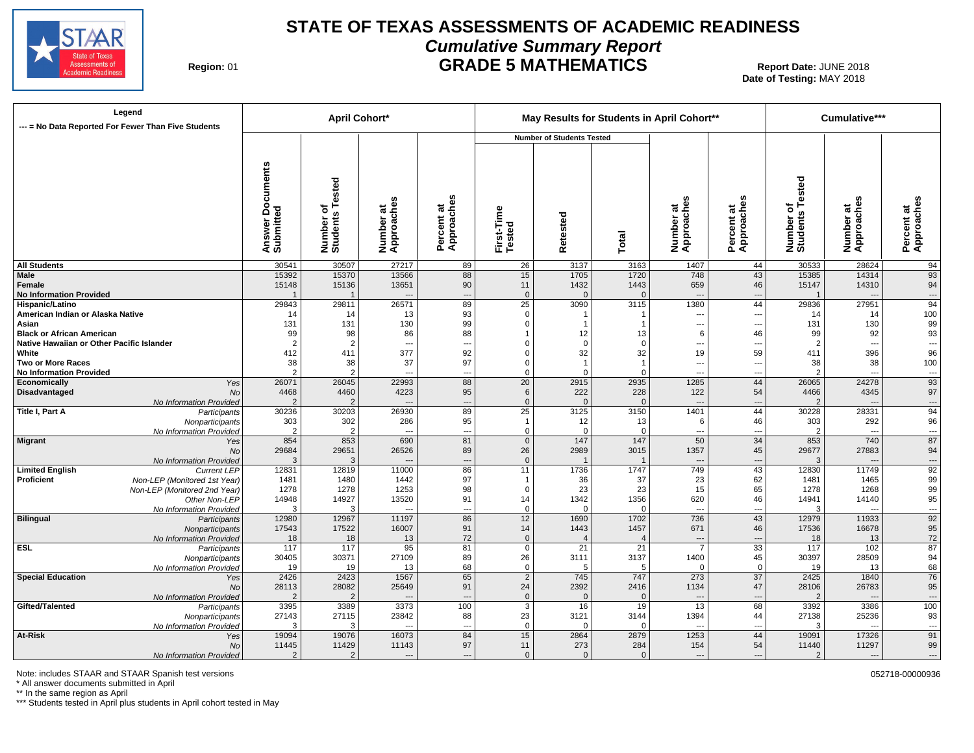

## **STATE OF TEXAS ASSESSMENTS OF ACADEMIC READINESS Cumulative Summary Report GRADE 5 MATHEMATICS** Report Date: JUNE 2018

**Region: 01** 

**Date of Testing:**  MAY 2018

|                                                    | Legend<br>--- = No Data Reported For Fewer Than Five Students |                                     |                                      | <b>April Cohort*</b>             |                                      |                      |                                  |                          | May Results for Students in April Cohort** |                               |                                      | Cumulative***                              |                                |
|----------------------------------------------------|---------------------------------------------------------------|-------------------------------------|--------------------------------------|----------------------------------|--------------------------------------|----------------------|----------------------------------|--------------------------|--------------------------------------------|-------------------------------|--------------------------------------|--------------------------------------------|--------------------------------|
|                                                    |                                                               |                                     |                                      |                                  |                                      |                      | <b>Number of Students Tested</b> |                          |                                            |                               |                                      |                                            |                                |
|                                                    |                                                               | Documents<br>Answer Do<br>Submitted | Tested<br>৳<br>Number of<br>Students | Ŵ<br>Number at<br>Approaches     | Percent at<br>Approaches             | First-Time<br>Tested | Retested                         | Total                    | Number at<br>Approaches                    | S<br>Percent at<br>Approaches | Tested<br>৳<br>Number of<br>Students | Number at<br>Approaches                    | Percent at<br>Approaches       |
| <b>All Students</b>                                |                                                               | 30541                               | 30507                                | 27217                            | 89                                   | 26                   | 3137                             | 3163                     | 1407                                       | 44                            | 30533                                | 28624                                      | 94                             |
| Male<br>Female<br><b>No Information Provided</b>   |                                                               | 15392<br>15148                      | 15370<br>15136                       | 13566<br>13651<br>$\overline{a}$ | 88<br>90<br>$\overline{\phantom{a}}$ | 15<br>11<br>$\Omega$ | 1705<br>1432<br>$\Omega$         | 1720<br>1443<br>$\Omega$ | 748<br>659<br>$\cdots$                     | 43<br>46<br>---               | 15385<br>15147                       | 14314<br>14310<br>$\overline{\phantom{a}}$ | 93<br>94<br>$\cdots$           |
| Hispanic/Latino                                    |                                                               | 29843                               | 29811                                | 26571                            | 89                                   | 25                   | 3090                             | 3115                     | 1380                                       | 44                            | 29836                                | 27951                                      | 94                             |
| American Indian or Alaska Native                   |                                                               | 14                                  | 14                                   | 13                               | 93                                   | 0                    | $\mathbf 1$                      |                          | $\qquad \qquad \cdots$                     | ---                           | 14                                   | 14                                         | 100                            |
| Asian                                              |                                                               | 131                                 | 131                                  | 130                              | 99                                   | $\Omega$             |                                  |                          | ---                                        | $\overline{\phantom{a}}$      | 131                                  | 130                                        | 99                             |
| <b>Black or African American</b>                   |                                                               | 99                                  | 98                                   | 86                               | 88                                   | 1                    | 12                               | 13                       | 6                                          | 46                            | 99                                   | 92                                         | 93                             |
| Native Hawaiian or Other Pacific Islander<br>White |                                                               | $\overline{2}$<br>412               | $\overline{2}$<br>411                | $---$<br>377                     | $\overline{\phantom{a}}$<br>92       | 0<br>$\Omega$        | $\overline{0}$<br>32             | $\mathbf 0$<br>32        | ---<br>19                                  | ---<br>59                     | $\overline{2}$<br>411                | $\overline{a}$<br>396                      | ---<br>96                      |
| <b>Two or More Races</b>                           |                                                               | 38                                  | 38                                   | 37                               | 97                                   | $\Omega$             | $\overline{1}$                   | -1                       | $\overline{\phantom{a}}$                   | $\overline{\phantom{a}}$      | 38                                   | 38                                         | 100                            |
| <b>No Information Provided</b>                     |                                                               |                                     |                                      | $---$                            | $\overline{\phantom{a}}$             | $\Omega$             | $\Omega$                         | $\Omega$                 | $\overline{\phantom{a}}$                   | $\overline{\phantom{a}}$      | $\overline{2}$                       | $\overline{a}$                             | $\hspace{0.05cm} \ldots$       |
| Economically                                       | Yes                                                           | 26071                               | 26045                                | 22993                            | 88                                   | 20                   | 2915                             | 2935                     | 1285                                       | 44                            | 26065                                | 24278                                      | 93                             |
| Disadvantaged                                      | No                                                            | 4468                                | 4460                                 | 4223                             | 95                                   | 6                    | 222                              | 228                      | 122                                        | 54                            | 4466                                 | 4345                                       | 97                             |
|                                                    | No Information Provided                                       | $\mathcal{P}$                       | $\overline{2}$                       |                                  | $\overline{\phantom{a}}$             | $\Omega$             | $\Omega$                         | $\Omega$                 | $\cdots$                                   | ---                           | $\overline{2}$                       | $\overline{a}$                             | ---                            |
| Title I, Part A                                    | Participants                                                  | 30236                               | 30203                                | 26930                            | 89                                   | 25                   | 3125                             | 3150                     | 1401                                       | 44                            | 30228                                | 28331                                      | 94                             |
|                                                    | Nonparticipants                                               | 303                                 | 302                                  | 286                              | 95                                   | $\mathbf{1}$         | 12                               | 13                       | 6                                          | 46                            | 303                                  | 292                                        | 96                             |
|                                                    | No Information Provided                                       | 2                                   | $\overline{2}$<br>853                | 690                              | ---<br>81                            | $\mathbf 0$          | $\Omega$<br>147                  | $\mathbf 0$              | $\overline{a}$                             | ---<br>34                     | $\overline{2}$                       | $\overline{\phantom{a}}$<br>740            | $\overline{\phantom{a}}$<br>87 |
| Migrant                                            | Yes                                                           | 854<br>29684                        | 29651                                | 26526                            | 89                                   | $\mathbf{0}$<br>26   | 2989                             | 147<br>3015              | 50<br>1357                                 | 45                            | 853<br>29677                         | 27883                                      | 94                             |
|                                                    | No<br>No Information Provided                                 | p                                   | 3                                    |                                  | ---                                  | $\mathbf{0}$         |                                  |                          | $\overline{\phantom{a}}$                   | ---                           | 3                                    | ---                                        | ---                            |
| <b>Limited English</b>                             | <b>Current LEP</b>                                            | 12831                               | 12819                                | 11000                            | 86                                   | 11                   | 1736                             | 1747                     | 749                                        | 43                            | 12830                                | 11749                                      | 92                             |
| Proficient                                         | Non-LEP (Monitored 1st Year)                                  | 1481                                | 1480                                 | 1442                             | 97                                   | $\mathbf{1}$         | 36                               | 37                       | 23                                         | 62                            | 1481                                 | 1465                                       | 99                             |
|                                                    | Non-LEP (Monitored 2nd Year)                                  | 1278                                | 1278                                 | 1253                             | 98                                   | $\Omega$             | 23                               | 23                       | 15                                         | 65                            | 1278                                 | 1268                                       | 99                             |
|                                                    | Other Non-LEP                                                 | 14948                               | 14927                                | 13520                            | 91                                   | 14                   | 1342                             | 1356                     | 620                                        | 46                            | 14941                                | 14140                                      | 95                             |
|                                                    | No Information Provided                                       |                                     | 3                                    | $\overline{a}$                   | ---                                  | $\Omega$             | $\Omega$                         | $\mathbf 0$              | $\overline{\phantom{a}}$                   | ---                           | 3                                    | $\overline{\phantom{a}}$                   | $\sim$                         |
| <b>Bilingual</b>                                   | Participants                                                  | 12980                               | 12967                                | 11197                            | 86                                   | 12                   | 1690                             | 1702                     | 736                                        | 43                            | 12979                                | 11933                                      | $\overline{92}$                |
|                                                    | Nonparticipants                                               | 17543                               | 17522<br>18                          | 16007<br>13                      | 91<br>72                             | 14<br>$\Omega$       | 1443                             | 1457                     | 671<br>$\cdots$                            | 46                            | 17536<br>18                          | 16678                                      | 95<br>72                       |
| <b>ESL</b>                                         | No Information Provided<br>Participants                       | 18<br>117                           | 117                                  | 95                               | 81                                   | $\mathbf 0$          | $\overline{21}$                  | $\overline{21}$          | $\overline{7}$                             | ---<br>$\overline{33}$        | $\overline{117}$                     | 13<br>102                                  | 87                             |
|                                                    | Nonparticipants                                               | 30405                               | 30371                                | 27109                            | 89                                   | 26                   | 3111                             | 3137                     | 1400                                       | 45                            | 30397                                | 28509                                      | 94                             |
|                                                    | No Information Provided                                       | 19                                  | 19                                   | 13                               | 68                                   | $\mathbf 0$          | 5                                | 5                        | $\mathbf 0$                                | $\mathbf 0$                   | 19                                   | 13                                         | 68                             |
| <b>Special Education</b>                           | Yes                                                           | 2426                                | 2423                                 | 1567                             | 65                                   | $\overline{2}$       | 745                              | 747                      | 273                                        | $\overline{37}$               | 2425                                 | 1840                                       | 76                             |
|                                                    | <b>No</b>                                                     | 28113                               | 28082                                | 25649                            | 91                                   | 24                   | 2392                             | 2416                     | 1134                                       | 47                            | 28106                                | 26783                                      | 95                             |
|                                                    | No Information Provided                                       | 2                                   | $\overline{2}$                       |                                  | $\overline{\phantom{a}}$             | $\mathbf{0}$         | $\Omega$                         | $\Omega$                 | ---                                        |                               | $\overline{2}$                       | $\overline{\phantom{a}}$                   | ---                            |
| Gifted/Talented                                    | Participants                                                  | 3395                                | 3389                                 | 3373                             | 100                                  | $\overline{3}$       | 16                               | 19                       | 13                                         | 68                            | 3392                                 | 3386                                       | 100                            |
|                                                    | Nonparticipants                                               | 27143                               | 27115                                | 23842                            | 88                                   | 23                   | 3121                             | 3144                     | 1394                                       | 44                            | 27138                                | 25236                                      | 93                             |
| At-Risk                                            | No Information Provided                                       | p                                   | 3                                    | 16073                            | $\overline{a}$<br>84                 | $\mathbf 0$<br>15    | $\Omega$<br>2864                 | $\Omega$                 | $\sim$<br>1253                             | ---<br>44                     | 3<br>19091                           | $\sim$<br>17326                            | ---<br>91                      |
|                                                    | Yes<br><b>No</b>                                              | 19094<br>11445                      | 19076<br>11429                       | 11143                            | 97                                   | 11                   | 273                              | 2879<br>284              | 154                                        | 54                            | 11440                                | 11297                                      | 99                             |
|                                                    | No Information Provided                                       | $\mathcal{P}$                       | $\mathcal{P}$                        | $-$                              | $\sim$                               | $\Omega$             | $\Omega$                         | $\Omega$                 | $\overline{a}$                             | $\overline{a}$                | 2                                    | $\overline{a}$                             | $\cdots$                       |
|                                                    |                                                               |                                     |                                      |                                  |                                      |                      |                                  |                          |                                            |                               |                                      |                                            |                                |

Note: includes STAAR and STAAR Spanish test versions **by a state of the state of the state of the state of the state of the state of the state of the state of the state of the state of the state of the state of the state o** 

\* All answer documents submitted in April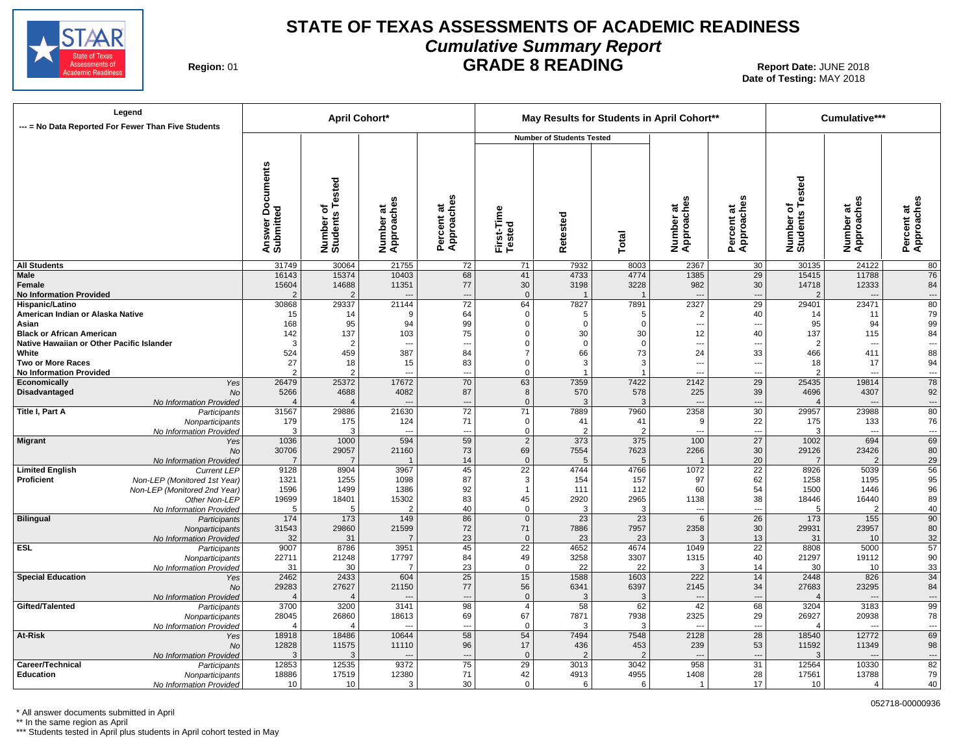

## **STATE OF TEXAS ASSESSMENTS OF ACADEMIC READINESS Cumulative Summary Report GRADE 8 READING** Report Date: JUNE 2018

**Region: 01** 

**Date of Testing:**  MAY 2018

052718-00000936

| --- = No Data Reported For Fewer Than Five Students        | Legend                                     |                                            |                                      | <b>April Cohort*</b><br>Cumulative***<br>May Results for Students in April Cohort**<br><b>Number of Students Tested</b> |                                |                         |                   |                        |                                 |                                 |                              |                          |                                |
|------------------------------------------------------------|--------------------------------------------|--------------------------------------------|--------------------------------------|-------------------------------------------------------------------------------------------------------------------------|--------------------------------|-------------------------|-------------------|------------------------|---------------------------------|---------------------------------|------------------------------|--------------------------|--------------------------------|
|                                                            |                                            |                                            |                                      |                                                                                                                         |                                |                         |                   |                        |                                 |                                 |                              |                          |                                |
|                                                            |                                            | <b>Documents</b><br>Answer Do<br>Submitted | Tested<br>৳<br>Number of<br>Students | Number at<br>Approaches                                                                                                 | U)<br>Percent at<br>Approaches | First-Time<br>Tested    | etested<br>œ      | Total                  | Number at<br>Approaches         | Percent at<br>Approaches        | Number of<br>Students Tested | Number at<br>Approaches  | Percent at<br>Approaches       |
| <b>All Students</b>                                        |                                            | 31749                                      | 30064                                | 21755                                                                                                                   | 72                             | 71                      | 7932              | 8003                   | 2367                            | 30                              | 30135                        | 24122                    | 80                             |
| <b>Male</b>                                                |                                            | 16143                                      | 15374                                | 10403                                                                                                                   | 68                             | 41                      | 4733              | 4774                   | 1385                            | 29                              | 15415                        | 11788                    | 76                             |
| Female<br><b>No Information Provided</b>                   |                                            | 15604<br>$\mathcal{P}$                     | 14688<br>$\overline{2}$              | 11351                                                                                                                   | 77<br>$\overline{a}$           | 30<br>$\overline{0}$    | 3198              | 3228<br>$\overline{1}$ | 982<br>$\overline{\phantom{a}}$ | 30<br>---                       | 14718<br>2                   | 12333<br>$\overline{a}$  | 84<br>$\overline{\phantom{a}}$ |
| Hispanic/Latino                                            |                                            | 30868                                      | 29337                                | 21144                                                                                                                   | $\overline{72}$                | 64                      | 7827              | 7891                   | 2327                            | $\overline{29}$                 | 29401                        | 23471                    | 80                             |
| American Indian or Alaska Native                           |                                            | 15                                         | 14                                   | 9                                                                                                                       | 64                             | $\mathbf 0$             | 5                 | 5                      | $\overline{2}$                  | 40                              | 14                           | 11                       | 79                             |
| Asian                                                      |                                            | 168                                        | 95                                   | 94                                                                                                                      | 99                             | $\Omega$                | $\Omega$          | $\Omega$               | ---                             | $\overline{\phantom{a}}$        | 95                           | 94                       | 99                             |
| <b>Black or African American</b>                           |                                            | 142                                        | 137                                  | 103                                                                                                                     | 75                             | 0                       | 30                | 30                     | 12                              | 40                              | 137                          | 115                      | 84                             |
| Native Hawaiian or Other Pacific Islander                  |                                            | $\mathbf{3}$                               | $\overline{2}$                       | $\overline{\phantom{a}}$                                                                                                | $\overline{\phantom{a}}$       | 0                       | $\Omega$          | $\Omega$               | ---                             | $\overline{\phantom{a}}$        | 2                            | $\overline{\phantom{a}}$ | $\overline{\phantom{a}}$       |
| White                                                      |                                            | 524                                        | 459                                  | 387                                                                                                                     | 84                             | 7                       | 66                | 73                     | 24                              | 33                              | 466                          | 411                      | 88                             |
| <b>Two or More Races</b><br><b>No Information Provided</b> |                                            | 27<br>2                                    | 18<br>$\overline{2}$                 | 15<br>$\overline{a}$                                                                                                    | 83<br>---                      | $\Omega$<br>$\mathbf 0$ | 3<br>$\mathbf{1}$ | 3<br>-1                | ---<br>$\overline{a}$           | $\overline{\phantom{a}}$<br>--- | 18<br>$\mathcal{P}$          | 17<br>$\overline{a}$     | 94<br>$\overline{a}$           |
| Economically                                               | Yes                                        | 26479                                      | 25372                                | 17672                                                                                                                   | 70                             | 63                      | 7359              | 7422                   | 2142                            | 29                              | 25435                        | 19814                    | 78                             |
| Disadvantaged                                              | No                                         | 5266                                       | 4688                                 | 4082                                                                                                                    | 87                             | 8                       | 570               | 578                    | 225                             | 39                              | 4696                         | 4307                     | 92                             |
|                                                            | No Information Provided                    |                                            | $\overline{4}$                       |                                                                                                                         | ---                            | $\mathbf 0$             | 3                 | 3                      | $\overline{\phantom{a}}$        | $\cdots$                        | $\overline{4}$               | $\overline{\phantom{a}}$ | $\overline{\phantom{a}}$       |
| Title I, Part A                                            | Participants                               | 31567                                      | 29886                                | 21630                                                                                                                   | $\overline{72}$                | 71                      | 7889              | 7960                   | 2358                            | 30                              | 29957                        | 23988                    | 80                             |
|                                                            | Nonparticipants                            | 179                                        | 175                                  | 124                                                                                                                     | 71                             | $\mathbf 0$             | 41                | 41                     | 9                               | 22                              | 175                          | 133                      | 76                             |
|                                                            | No Information Provided                    | 3                                          | 3                                    | $\overline{a}$                                                                                                          | $\overline{a}$                 | $\mathbf 0$             | $\mathcal{P}$     | 2                      | $\overline{a}$                  | ---                             | 3                            | $\overline{a}$           | ---                            |
| <b>Migrant</b>                                             | Yes                                        | 1036<br>30706                              | 1000                                 | 594<br>21160                                                                                                            | 59                             | $\overline{2}$<br>69    | 373               | 375                    | 100<br>2266                     | $\overline{27}$<br>30           | 1002                         | 694<br>23426             | 69<br>80                       |
|                                                            | No<br>No Information Provided              |                                            | 29057<br>7                           |                                                                                                                         | 73<br>14                       | $\mathbf{0}$            | 7554<br>5         | 7623<br>-5             | $\overline{1}$                  | 20                              | 29126<br>$\overline{7}$      | $\overline{2}$           | 29                             |
| <b>Limited English</b>                                     | <b>Current LEP</b>                         | 9128                                       | 8904                                 | 3967                                                                                                                    | 45                             | $\overline{22}$         | 4744              | 4766                   | 1072                            | $\overline{22}$                 | 8926                         | 5039                     | $\overline{56}$                |
| Proficient                                                 | Non-LEP (Monitored 1st Year)               | 1321                                       | 1255                                 | 1098                                                                                                                    | 87                             | 3                       | 154               | 157                    | 97                              | 62                              | 1258                         | 1195                     | 95                             |
|                                                            | Non-LEP (Monitored 2nd Year)               | 1596                                       | 1499                                 | 1386                                                                                                                    | 92                             | $\mathbf{1}$            | 111               | 112                    | 60                              | 54                              | 1500                         | 1446                     | 96                             |
|                                                            | Other Non-LEP                              | 19699                                      | 18401                                | 15302                                                                                                                   | 83                             | 45                      | 2920              | 2965                   | 1138                            | 38                              | 18446                        | 16440                    | 89                             |
|                                                            | No Information Provided                    | -5                                         | 5                                    | $\overline{2}$                                                                                                          | 40                             | $\mathbf 0$             | 3                 | 3                      | $\sim$                          | $\overline{a}$                  | 5                            | $\overline{2}$           | 40                             |
| <b>Bilingual</b>                                           | Participants                               | 174                                        | 173                                  | 149                                                                                                                     | 86                             | $\mathbf 0$             | 23                | 23                     | $6\phantom{.}6$                 | 26                              | 173                          | 155                      | $\overline{90}$                |
|                                                            | Nonparticipants                            | 31543<br>32                                | 29860<br>31                          | 21599<br>$\overline{7}$                                                                                                 | 72<br>23                       | 71<br>$\mathbf 0$       | 7886<br>23        | 7957<br>23             | 2358<br>3                       | 30<br>13                        | 29931<br>31                  | 23957<br>10              | 80<br>32                       |
| <b>ESL</b>                                                 | No Information Provided<br>Participants    | 9007                                       | 8786                                 | 3951                                                                                                                    | 45                             | $\overline{22}$         | 4652              | 4674                   | 1049                            | $\overline{22}$                 | 8808                         | 5000                     | $\overline{57}$                |
|                                                            | Nonparticipants                            | 22711                                      | 21248                                | 17797                                                                                                                   | 84                             | 49                      | 3258              | 3307                   | 1315                            | 40                              | 21297                        | 19112                    | 90                             |
|                                                            | No Information Provided                    | 31                                         | 30                                   | 7                                                                                                                       | 23                             | $\mathbf 0$             | 22                | 22                     | 3                               | 14                              | 30                           | 10                       | 33                             |
| <b>Special Education</b>                                   | Yes                                        | 2462                                       | 2433                                 | 604                                                                                                                     | 25                             | 15                      | 1588              | 1603                   | 222                             | 14                              | 2448                         | 826                      | 34                             |
|                                                            | No                                         | 29283                                      | 27627                                | 21150                                                                                                                   | 77                             | 56                      | 6341              | 6397                   | 2145                            | 34                              | 27683                        | 23295                    | 84                             |
|                                                            | No Information Provided                    | $\Delta$                                   |                                      |                                                                                                                         | $\overline{a}$                 | $\mathbf 0$             | 3                 | 3                      | $\overline{\phantom{a}}$        | $\overline{a}$                  | $\Delta$                     |                          | $\overline{\phantom{a}}$       |
| Gifted/Talented                                            | Participants                               | 3700                                       | 3200                                 | 3141                                                                                                                    | 98                             | $\overline{4}$          | 58                | 62                     | 42                              | 68                              | 3204                         | 3183                     | $\overline{99}$                |
|                                                            | Nonparticipants<br>No Information Provided | 28045<br>4                                 | 26860<br>$\overline{4}$              | 18613<br>$\overline{a}$                                                                                                 | 69<br>---                      | 67<br>$\mathbf 0$       | 7871<br>3         | 7938<br>3              | 2325<br>$\sim$                  | 29<br>---                       | 26927<br>$\overline{4}$      | 20938<br>$\overline{a}$  | 78<br>$\overline{\phantom{a}}$ |
| At-Risk                                                    | Yes                                        | 18918                                      | 18486                                | 10644                                                                                                                   | 58                             | 54                      | 7494              | 7548                   | 2128                            | 28                              | 18540                        | 12772                    | 69                             |
|                                                            | <b>No</b>                                  | 12828                                      | 11575                                | 11110                                                                                                                   | 96                             | 17                      | 436               | 453                    | 239                             | 53                              | 11592                        | 11349                    | 98                             |
|                                                            | No Information Provided                    | p                                          | 3                                    | $\overline{a}$                                                                                                          | ---                            | $\mathbf{0}$            | $\overline{2}$    | $\mathcal{P}$          | $\overline{\phantom{a}}$        | $\overline{a}$                  | $\mathcal{R}$                | $\overline{a}$           | $\hspace{0.05cm} \cdots$       |
| Career/Technical                                           | Participants                               | 12853                                      | 12535                                | 9372                                                                                                                    | 75                             | 29                      | 3013              | 3042                   | 958                             | $\overline{31}$                 | 12564                        | 10330                    | 82                             |
| Education                                                  | Nonparticipants                            | 18886                                      | 17519                                | 12380                                                                                                                   | 71                             | 42                      | 4913              | 4955                   | 1408                            | 28                              | 17561                        | 13788                    | 79                             |
|                                                            | No Information Provided                    | 10                                         | 10                                   | 3                                                                                                                       | 30                             | $\Omega$                | 6                 | 6                      | $\overline{1}$                  | 17                              | 10                           | $\Delta$                 | 40                             |

\* All answer documents submitted in April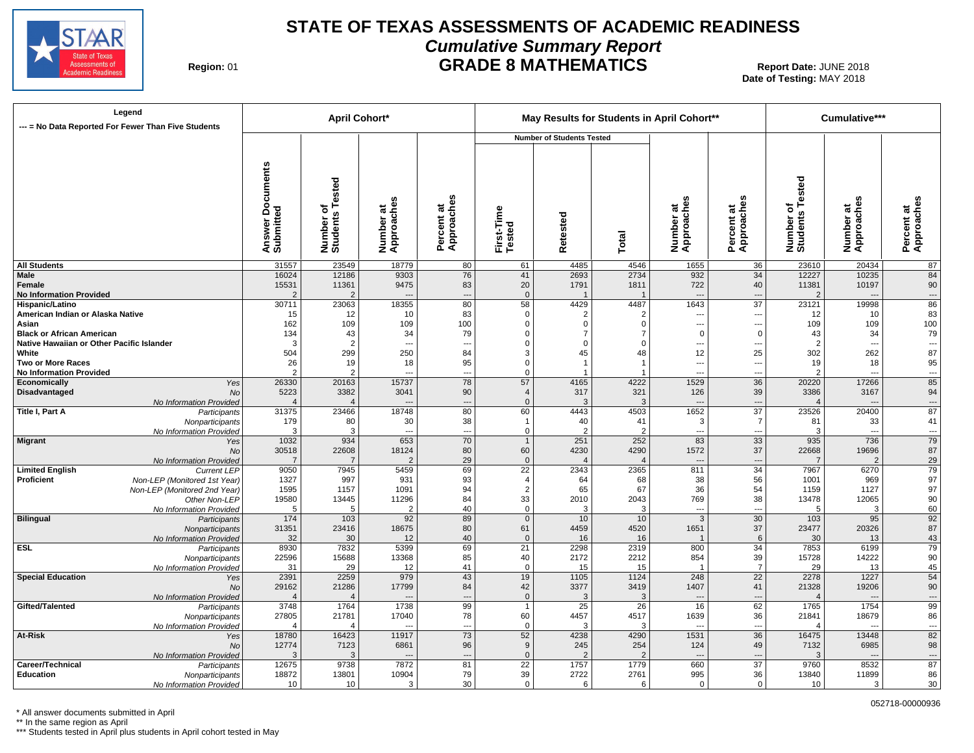

## **STATE OF TEXAS ASSESSMENTS OF ACADEMIC READINESS Cumulative Summary Report GRADE 8 MATHEMATICS** Report Date: JUNE 2018

**Region: 01** 

**Date of Testing:**  MAY 2018

| Legend<br>--- = No Data Reported For Fewer Than Five Students                                                                                                          |                                            | <b>April Cohort*</b>                         |                                                |                                             |                                                             | Cumulative***                                           |                               |                                                         |                                              |                                    |                                                                   |                                                                  |
|------------------------------------------------------------------------------------------------------------------------------------------------------------------------|--------------------------------------------|----------------------------------------------|------------------------------------------------|---------------------------------------------|-------------------------------------------------------------|---------------------------------------------------------|-------------------------------|---------------------------------------------------------|----------------------------------------------|------------------------------------|-------------------------------------------------------------------|------------------------------------------------------------------|
|                                                                                                                                                                        |                                            |                                              |                                                |                                             |                                                             | <b>Number of Students Tested</b>                        |                               |                                                         |                                              |                                    |                                                                   |                                                                  |
|                                                                                                                                                                        | <b>Documents</b><br>Answer Do<br>Submitted | Number of<br>Students Tested                 | Number at<br>Approaches                        | w<br>Percent at<br>Approaches               | First-Time<br>Tested                                        | etested<br>œ                                            | Total                         | Number at<br>Approaches                                 | Percent at<br>Approaches                     | Number of<br>Students Tested       | U)<br>Number at<br>Approaches                                     | Percent at<br>Approaches                                         |
| <b>All Students</b>                                                                                                                                                    | 31557                                      | 23549                                        | 18779                                          | 80                                          | 61                                                          | 4485                                                    | 4546                          | 1655                                                    | 36                                           | 23610                              | 20434                                                             | 87                                                               |
| Male<br>Female<br><b>No Information Provided</b>                                                                                                                       | 16024<br>15531<br>2                        | 12186<br>11361<br>$\mathcal{P}$              | 9303<br>9475                                   | 76<br>83<br>$\overline{\phantom{a}}$        | 41<br>20<br>$\mathbf{0}$                                    | 2693<br>1791                                            | 2734<br>1811                  | 932<br>722<br>$\overline{\phantom{a}}$                  | 34<br>40<br>---                              | 12227<br>11381                     | 10235<br>10197<br>$\overline{a}$                                  | 84<br>90<br>$\hspace{0.05cm} \cdots$                             |
| Hispanic/Latino<br>American Indian or Alaska Native<br>Asian<br><b>Black or African American</b>                                                                       | 30711<br>15<br>162<br>134                  | 23063<br>12<br>109<br>43                     | 18355<br>10<br>109<br>34                       | 80<br>83<br>100<br>79                       | 58<br>$\Omega$<br>$\Omega$<br>$\Omega$                      | 4429<br>$\overline{2}$<br>$\mathbf 0$<br>$\overline{7}$ | 4487<br>2<br>$\Omega$<br>-7   | 1643<br>$\overline{a}$<br>$---$<br>$\mathbf 0$          | $\overline{37}$<br>---<br>---<br>$\mathsf 0$ | 23121<br>12<br>109<br>43           | 19998<br>10<br>109<br>34                                          | 86<br>83<br>100<br>79                                            |
| Native Hawaiian or Other Pacific Islander<br>White<br><b>Two or More Races</b><br><b>No Information Provided</b>                                                       | 3<br>504<br>26<br>2                        | $\overline{2}$<br>299<br>19<br>$\mathcal{P}$ | $\overline{a}$<br>250<br>18<br>$\overline{a}$  | $\overline{\phantom{a}}$<br>84<br>95<br>--- | $\mathbf 0$<br>3<br>$\mathbf 0$<br>$\Omega$                 | $\mathbf 0$<br>45<br>$\overline{1}$                     | $\mathbf 0$<br>48             | $\overline{a}$<br>12<br>---<br>$\overline{\phantom{a}}$ | ---<br>25<br><br>                            | $\overline{2}$<br>302<br>19<br>2   | $\overline{\phantom{a}}$<br>262<br>18<br>$\overline{\phantom{a}}$ | $\hspace{0.05cm} \cdots$<br>87<br>95<br>$\hspace{0.05cm} \ldots$ |
| Economically<br>Yes<br>Disadvantaged<br>No<br>No Information Provided                                                                                                  | 26330<br>5223<br>$\overline{4}$            | 20163<br>3382<br>$\overline{4}$              | 15737<br>3041                                  | 78<br>90<br>$\overline{\phantom{a}}$        | 57<br>$\overline{4}$<br>$\mathbf 0$                         | 4165<br>317<br>3                                        | 4222<br>321<br>3              | 1529<br>126<br>$\overline{\phantom{a}}$                 | 36<br>39<br>---                              | 20220<br>3386                      | 17266<br>3167<br>$\overline{a}$                                   | 85<br>94<br>$\overline{\phantom{a}}$                             |
| Title I, Part A<br>Participants<br>Nonparticipants<br>No Information Provided                                                                                          | 31375<br>179<br>p                          | 23466<br>80<br>3                             | 18748<br>30<br>$\overline{a}$                  | 80<br>38<br>--                              | 60<br>1<br>$\mathbf 0$                                      | 4443<br>40<br>$\mathcal{P}$                             | 4503<br>41                    | 1652<br>3<br>---                                        | $\overline{37}$<br>$\overline{7}$<br>---     | 23526<br>81<br>3                   | 20400<br>33<br>$\overline{a}$                                     | 87<br>41<br>$\cdots$                                             |
| <b>Migrant</b><br>Yes<br><b>No</b><br>No Information Provided                                                                                                          | 1032<br>30518<br>-7                        | 934<br>22608                                 | 653<br>18124<br>$\overline{2}$                 | 70<br>80<br>29                              | $\mathbf{1}$<br>60<br>$\mathbf 0$                           | 251<br>4230                                             | 252<br>4290<br>$\overline{4}$ | 83<br>1572<br>$\overline{\phantom{a}}$                  | 33<br>37<br>---                              | 935<br>22668<br>$\overline{7}$     | 736<br>19696<br>$\overline{2}$                                    | 79<br>87<br>29                                                   |
| <b>Limited English</b><br><b>Current LEP</b><br>Proficient<br>Non-LEP (Monitored 1st Year)<br>Non-LEP (Monitored 2nd Year)<br>Other Non-LEP<br>No Information Provided | 9050<br>1327<br>1595<br>19580<br>-5        | 7945<br>997<br>1157<br>13445<br>5            | 5459<br>931<br>1091<br>11296<br>$\overline{2}$ | 69<br>93<br>94<br>84<br>40                  | $\overline{22}$<br>$\overline{4}$<br>2<br>33<br>$\mathbf 0$ | 2343<br>64<br>65<br>2010<br>3                           | 2365<br>68<br>67<br>2043<br>3 | 811<br>38<br>36<br>769<br>---                           | 34<br>56<br>54<br>38<br>---                  | 7967<br>1001<br>1159<br>13478<br>5 | 6270<br>969<br>1127<br>12065<br>3                                 | 79<br>97<br>97<br>90<br>60                                       |
| <b>Bilingual</b><br>Participants<br>Nonparticipants<br>No Information Provided                                                                                         | 174<br>31351<br>32                         | $103$<br>23416<br>30                         | 92<br>18675<br>12                              | 89<br>80<br>40                              | $\overline{0}$<br>61<br>$\mathbf{0}$                        | 10<br>4459<br>16                                        | 10<br>4520<br>16              | $\overline{3}$<br>1651<br>$\overline{1}$                | 30<br>37<br>$6\phantom{1}$                   | 103<br>23477<br>30                 | 95<br>20326<br>13                                                 | $\overline{92}$<br>87<br>43                                      |
| <b>ESL</b><br>Participants<br>Nonparticipants<br>No Information Provided                                                                                               | 8930<br>22596<br>31                        | 7832<br>15688<br>29                          | 5399<br>13368<br>12                            | 69<br>85<br>41                              | $\overline{21}$<br>40<br>$\mathbf 0$                        | 2298<br>2172<br>15                                      | 2319<br>2212<br>15            | 800<br>854<br>$\overline{1}$                            | 34<br>39<br>$\overline{7}$                   | 7853<br>15728<br>29                | 6199<br>14222<br>13                                               | 79<br>$90\,$<br>45                                               |
| <b>Special Education</b><br>Yes<br><b>No</b><br>No Information Provided                                                                                                | 2391<br>29162<br>$\overline{4}$            | 2259<br>21286                                | 979<br>17799                                   | 43<br>84<br>$\overline{\phantom{a}}$        | 19<br>42<br>$\mathbf 0$                                     | 1105<br>3377<br>3                                       | 1124<br>3419<br>3             | 248<br>1407<br>$\overline{\phantom{a}}$                 | $\overline{22}$<br>41<br>---                 | 2278<br>21328                      | 1227<br>19206<br>$\overline{a}$                                   | 54<br>$90\,$<br>$\hspace{0.05cm} \ldots$                         |
| Gifted/Talented<br>Participants<br>Nonparticipants<br>No Information Provided                                                                                          | 3748<br>27805<br>$\Delta$                  | 1764<br>21781<br>$\overline{4}$              | 1738<br>17040                                  | 99<br>78<br>$\overline{a}$                  | $\overline{1}$<br>60<br>$\mathbf 0$                         | 25<br>4457<br>$\mathcal{R}$                             | 26<br>4517<br>3               | 16<br>1639<br>$\overline{a}$                            | 62<br>36<br>÷-                               | 1765<br>21841<br>$\overline{4}$    | 1754<br>18679<br>$\overline{a}$                                   | $\overline{99}$<br>86<br>---                                     |
| At-Risk<br>Yes<br><b>No</b><br>No Information Provided                                                                                                                 | 18780<br>12774<br>p                        | 16423<br>7123<br>3                           | 11917<br>6861                                  | 73<br>96<br>$\overline{\phantom{a}}$        | 52<br>9<br>$\mathbf{0}$                                     | 4238<br>245                                             | 4290<br>254                   | 1531<br>124<br>$\overline{\phantom{a}}$                 | 36<br>49<br>---                              | 16475<br>7132<br>3                 | 13448<br>6985<br>$\overline{a}$                                   | 82<br>98<br>$\hspace{0.05cm} \cdots$                             |
| Career/Technical<br>Participants<br>Education<br>Nonparticipants<br>No Information Provided                                                                            | 12675<br>18872<br>10                       | 9738<br>13801<br>10                          | 7872<br>10904<br>3                             | 81<br>79<br>30                              | 22<br>39<br>$\Omega$                                        | 1757<br>2722<br>6                                       | 1779<br>2761<br>6             | 660<br>995<br>$\Omega$                                  | $\overline{37}$<br>36<br>$\Omega$            | 9760<br>13840<br>10                | 8532<br>11899<br>3                                                | 87<br>86<br>30                                                   |

\* All answer documents submitted in April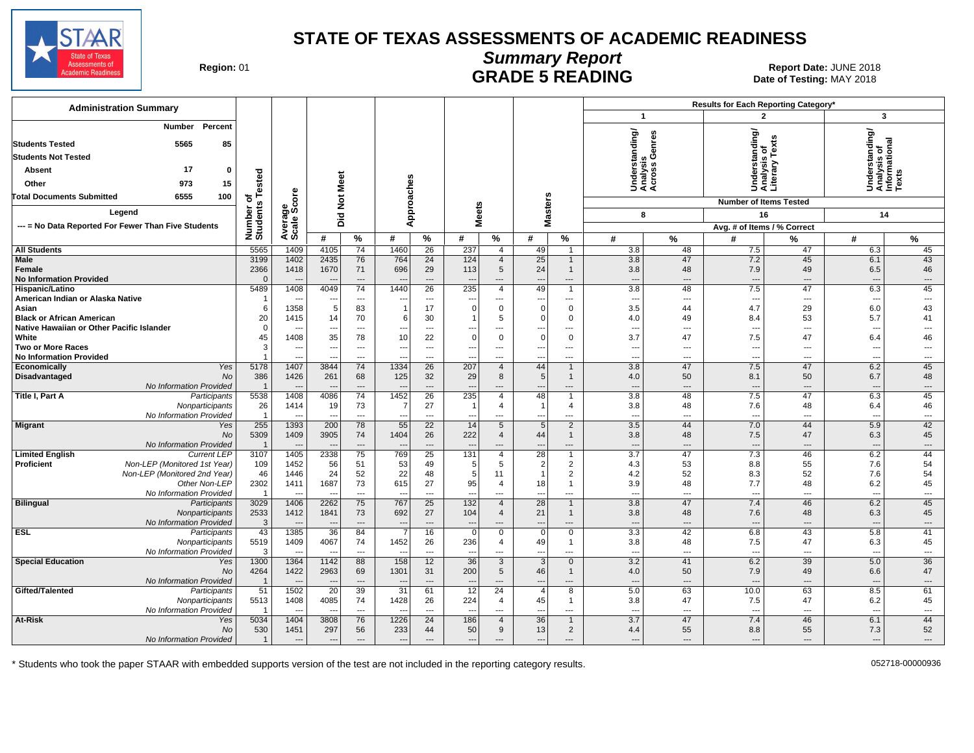

# **Summary Report**

Region: 01 **Region: 01 CALL CONSISTS AND CONTROLL SETS ARE SETS AND EXAMPLE 5 READING Report Date: JUNE 2018** Date of Testing: MAY 2018

| <b>Administration Summary</b>                                                 |                                 |                                  |                                  |                                |                                  |                                |                          |                                            |                                 |                                |                               |                                             | Results for Each Reporting Category*            |                                |                                                |                              |
|-------------------------------------------------------------------------------|---------------------------------|----------------------------------|----------------------------------|--------------------------------|----------------------------------|--------------------------------|--------------------------|--------------------------------------------|---------------------------------|--------------------------------|-------------------------------|---------------------------------------------|-------------------------------------------------|--------------------------------|------------------------------------------------|------------------------------|
|                                                                               |                                 |                                  |                                  |                                |                                  |                                |                          |                                            |                                 |                                | $\mathbf{1}$                  |                                             | $\overline{2}$                                  |                                | $\overline{\mathbf{3}}$                        |                              |
| <b>Number</b><br>Percent<br>5565<br>85<br><b>Students Tested</b>              |                                 |                                  |                                  |                                |                                  |                                |                          |                                            |                                 |                                |                               | Understanding/<br>Analysis<br>Across Genres | Understanding/<br>Analysis of<br>Literary Texts |                                | Understanding/<br>Analysis of<br>Informational |                              |
| <b>Students Not Tested</b>                                                    |                                 |                                  |                                  |                                |                                  |                                |                          |                                            |                                 |                                |                               |                                             |                                                 |                                |                                                |                              |
| 17<br><b>Absent</b><br>$\mathbf 0$                                            |                                 |                                  |                                  |                                |                                  |                                |                          |                                            |                                 |                                |                               |                                             |                                                 |                                |                                                |                              |
| 15<br>Other<br>973                                                            | ested                           |                                  | Meet                             |                                |                                  |                                |                          |                                            |                                 |                                |                               |                                             |                                                 |                                |                                                |                              |
| <b>Total Documents Submitted</b><br>6555<br>100                               | ۴<br>৳                          | <b>ore</b>                       |                                  |                                |                                  |                                |                          |                                            |                                 |                                |                               |                                             |                                                 |                                |                                                |                              |
| Legend                                                                        |                                 | န္တပ္တိ                          | ĕ                                |                                |                                  | Approaches                     | <b>Meets</b>             |                                            | <b>Masters</b>                  |                                |                               |                                             | <b>Number of Items Tested</b>                   |                                |                                                |                              |
| --- = No Data Reported For Fewer Than Five Students                           |                                 |                                  | Did                              |                                |                                  |                                |                          |                                            |                                 |                                | 8                             |                                             | 16                                              |                                | 14                                             |                              |
|                                                                               | Number or<br>Students           | Avera                            | #                                | %                              | #                                | %                              | #                        | $\%$                                       | #                               | %                              | #                             | $\frac{9}{6}$                               | Avg. # of Items / % Correct<br>#                | %                              | #                                              | %                            |
| <b>All Students</b>                                                           | 5565                            | 1409                             | 4105                             | $\overline{74}$                | 1460                             | 26                             | 237                      | $\overline{4}$                             | 49                              | $\overline{1}$                 | 3.8                           | 48                                          | 7.5                                             | 47                             | 6.3                                            | 45                           |
| <b>Male</b>                                                                   | 3199                            | 1402                             | 2435                             | 76                             | 764                              | 24                             | 124                      | $\overline{4}$                             | 25                              | $\mathbf{1}$                   | 3.8                           | 47                                          | 7.2                                             | 45                             | 6.1                                            | 43                           |
| Female                                                                        | 2366                            | 1418                             | 1670                             | 71                             | 696                              | 29                             | 113                      | 5 <sup>5</sup>                             | 24                              | $\mathbf{1}$                   | 3.8                           | 48                                          | 7.9                                             | 49                             | 6.5                                            | 46                           |
| <b>No Information Provided</b>                                                | $\Omega$                        |                                  |                                  | $\hspace{1.5cm} \cdots$        | $\overline{\phantom{a}}$         | $\overline{\phantom{a}}$       | ---                      | ---                                        | $\overline{\phantom{a}}$        | ---                            | $\overline{\phantom{a}}$      | $\overline{\phantom{a}}$                    | $\qquad \qquad \cdots$                          | $\overline{\phantom{a}}$       | $\overline{\phantom{a}}$                       | $\hspace{0.05cm} \ldots$     |
| Hispanic/Latino                                                               | 5489                            | 1408                             | 4049                             | 74                             | 1440                             | 26                             | 235                      | 4                                          | 49                              | $\mathbf{1}$                   | 3.8                           | 48                                          | 7.5                                             | 47                             | 6.3                                            | 45                           |
| American Indian or Alaska Native                                              | -1                              | $\sim$                           | $\overline{\phantom{a}}$         | $\overline{a}$                 | ---                              | $---$                          | ---                      | ---                                        | $\overline{\phantom{a}}$        | $---$                          | $\overline{\phantom{a}}$      | $\sim$                                      | ---                                             | $---$                          | $\overline{\phantom{a}}$                       | $\overline{\phantom{a}}$     |
| Asian                                                                         | 6                               | 1358                             | 5                                | 83                             | $\overline{1}$                   | 17                             | $\Omega$                 | $\mathbf{0}$                               | $\Omega$                        | $\mathbf 0$                    | 3.5                           | 44                                          | 4.7                                             | 29                             | 6.0                                            | 43                           |
| <b>Black or African American</b><br>Native Hawaiian or Other Pacific Islander | 20<br>$\Omega$                  | 1415<br>$\sim$                   | 14<br>---                        | 70<br>$\overline{a}$           | 6<br>---                         | 30<br>$\overline{\phantom{a}}$ | -1<br>---                | 5<br>$\overline{a}$                        | $\Omega$<br>---                 | $\mathbf 0$<br>$---$           | 4.0<br>$\overline{a}$         | 49<br>$\overline{a}$                        | 8.4<br>$\overline{a}$                           | 53<br>$---$                    | 5.7<br>$\overline{\phantom{a}}$                | 41<br>$---$                  |
| White                                                                         | 45                              | 1408                             | 35                               | 78                             | 10                               | 22                             | $\Omega$                 | $\mathbf 0$                                | $\Omega$                        | $\mathbf 0$                    | 3.7                           | 47                                          | 7.5                                             | 47                             | 6.4                                            | 46                           |
| <b>Two or More Races</b>                                                      | 3                               | $\overline{\phantom{a}}$         | ---                              | $\overline{a}$                 | $\overline{\phantom{a}}$         | $\overline{\phantom{a}}$       | ---                      | ---                                        | $\overline{\phantom{a}}$        | ---                            | $\overline{a}$                | ---                                         |                                                 | ---                            | ---                                            | $\overline{a}$               |
| <b>No Information Provided</b>                                                |                                 | $\overline{\phantom{a}}$         | $\overline{\phantom{a}}$         | $\overline{\phantom{a}}$       | ---                              | $\overline{\phantom{a}}$       | ---                      | ---                                        | $\overline{\phantom{a}}$        | $---$                          | $\overline{\phantom{a}}$      | $---$                                       | ---                                             | $\overline{\phantom{a}}$       | $\overline{\phantom{a}}$                       | $\overline{\phantom{a}}$     |
| Yes<br>Economically                                                           | 5178                            | 1407                             | 3844                             | 74                             | 1334                             | 26                             | 207                      | $\overline{4}$                             | 44                              | $\mathbf{1}$                   | 3.8                           | 47                                          | 7.5                                             | 47                             | 6.2                                            | 45                           |
| <b>Disadvantaged</b><br><b>No</b>                                             | 386                             | 1426                             | 261                              | 68                             | 125                              | 32                             | 29                       | 8                                          | 5                               | $\mathbf{1}$                   | 4.0                           | 50                                          | 8.1                                             | 50                             | 6.7                                            | 48                           |
| No Information Provided                                                       | $\overline{\mathbf{1}}$         | $\overline{\phantom{a}}$         |                                  | $---$                          | $\overline{\phantom{a}}$         | $---$                          | ---                      | $---$                                      | $\overline{\phantom{a}}$        | $---$                          | $\overline{a}$                | $---$                                       | $---$                                           | $---$                          | $\overline{a}$                                 | $---$                        |
| Title I, Part A<br>Participants                                               | 5538                            | 1408                             | 4086                             | $\overline{74}$                | 1452<br>$\overline{7}$           | 26                             | 235                      | $\overline{4}$                             | 48                              | $\mathbf{1}$                   | 3.8                           | 48                                          | 7.5                                             | 47                             | 6.3                                            | 45                           |
| Nonparticipants<br>No Information Provided                                    | 26<br>$\overline{1}$            | 1414<br>$\overline{\phantom{a}}$ | 19<br>$\overline{\phantom{a}}$   | 73<br>$\overline{\phantom{a}}$ | ---                              | 27<br>$\overline{\phantom{a}}$ | - 1<br>---               | 4<br>---                                   | - 1<br>$\overline{\phantom{a}}$ | 4<br>---                       | 3.8<br>$---$                  | 48<br>---                                   | 7.6<br>---                                      | 48<br>---                      | 6.4<br>$\overline{\phantom{a}}$                | 46<br>---                    |
| <b>Migrant</b><br>Yes                                                         | 255                             | 1393                             | 200                              | 78                             | 55                               | 22                             | 14                       | 5                                          | 5                               | $\overline{2}$                 | 3.5                           | 44                                          | 7.0                                             | 44                             | 5.9                                            | 42                           |
| No                                                                            | 5309                            | 1409                             | 3905                             | 74                             | 1404                             | 26                             | 222                      | 4                                          | 44                              | $\mathbf{1}$                   | 3.8                           | 48                                          | 7.5                                             | 47                             | 6.3                                            | 45                           |
| No Information Provided                                                       | $\overline{1}$                  |                                  |                                  | $\cdots$                       | $\overline{\phantom{a}}$         | $\overline{\phantom{a}}$       | $\overline{a}$           | ---                                        | $\overline{\phantom{a}}$        | $\overline{\phantom{a}}$       | $---$                         | $\overline{a}$                              | $\overline{\phantom{a}}$                        | $---$                          | $\overline{a}$                                 | $\qquad \qquad \cdots$       |
| <b>Current LEP</b><br><b>Limited English</b>                                  | 3107                            | 1405                             | 2338                             | 75                             | 769                              | $\overline{25}$                | 131                      | $\overline{4}$                             | 28                              | $\overline{1}$                 | 3.7                           | 47                                          | 7.3                                             | 46                             | 6.2                                            | 44                           |
| Non-LEP (Monitored 1st Year)<br>Proficient                                    | 109                             | 1452                             | 56                               | 51                             | 53                               | 49                             | 5                        | 5                                          | $\overline{2}$                  | $\overline{2}$                 | 4.3                           | 53                                          | 8.8                                             | 55                             | 7.6                                            | 54                           |
| Non-LEP (Monitored 2nd Year)                                                  | 46                              | 1446                             | 24                               | 52                             | 22                               | 48                             | 5                        | 11                                         | -1                              | $\overline{2}$                 | 4.2                           | 52                                          | 8.3                                             | 52                             | 7.6                                            | 54                           |
| Other Non-LEP<br>No Information Provided                                      | 2302<br>$\overline{\mathbf{1}}$ | 1411<br>$\overline{\phantom{a}}$ | 1687                             | 73                             | 615                              | 27                             | 95<br>---                | $\overline{4}$                             | 18                              | $\mathbf{1}$                   | 3.9                           | 48                                          | 7.7                                             | 48<br>$\overline{\phantom{a}}$ | 6.2<br>$\overline{\phantom{a}}$                | 45                           |
| <b>Bilingual</b><br>Participants                                              | 3029                            | 1406                             | 2262                             | $\cdots$<br>75                 | $\sim$<br>767                    | $\overline{\phantom{a}}$<br>25 | 132                      | $\hspace{0.05cm} \ldots$<br>$\overline{4}$ | $\overline{\phantom{a}}$<br>28  | $\cdots$<br>$\mathbf{1}$       | $\qquad \qquad \cdots$<br>3.8 | $\hspace{0.05cm} \ldots$<br>47              | $\overline{\phantom{a}}$<br>7.4                 | 46                             | 6.2                                            | $\qquad \qquad \cdots$<br>45 |
| Nonparticipants                                                               | 2533                            | 1412                             | 1841                             | 73                             | 692                              | 27                             | 104                      | $\overline{4}$                             | 21                              | $\mathbf{1}$                   | 3.8                           | 48                                          | 7.6                                             | 48                             | 6.3                                            | 45                           |
| No Information Provided                                                       | 3                               | $\sim$                           | $\sim$                           | $\overline{a}$                 | $\overline{\phantom{a}}$         | $\sim$                         | $\overline{a}$           | $\overline{a}$                             | $\overline{a}$                  | $\overline{a}$                 | $-$                           | $---$                                       | $\overline{\phantom{a}}$                        | $-$                            | ---                                            | $\overline{a}$               |
| <b>ESL</b><br>Participants                                                    | 43                              | 1385                             | 36                               | 84                             |                                  | 16                             | $\Omega$                 | $\overline{0}$                             | $\Omega$                        | $\overline{0}$                 | 3.3                           | 42                                          | 6.8                                             | 43                             | 5.8                                            | 41                           |
| Nonparticipants                                                               | 5519                            | 1409                             | 4067                             | 74                             | 1452                             | 26                             | 236                      | 4                                          | 49                              | $\mathbf{1}$                   | 3.8                           | 48                                          | 7.5                                             | 47                             | 6.3                                            | 45                           |
| No Information Provided                                                       | 3                               | $\overline{a}$                   | $\overline{\phantom{a}}$         | $\overline{a}$                 | $\overline{\phantom{a}}$         | ---                            | ---                      | ---                                        | $\overline{\phantom{a}}$        | ---                            | $\overline{\phantom{a}}$      | $\overline{\phantom{a}}$                    | ---                                             | $\overline{\phantom{a}}$       | $\overline{\phantom{a}}$                       | $\qquad \qquad \cdots$       |
| <b>Special Education</b><br>Yes                                               | 1300                            | 1364                             | 1142                             | 88                             | 158                              | 12                             | 36                       | $\mathbf{3}$                               | 3                               | $\mathbf 0$                    | 3.2                           | 41                                          | 6.2                                             | 39                             | 5.0                                            | 36                           |
| No<br>No Information Provided                                                 | 4264<br>$\overline{1}$          | 1422<br>$\sim$                   | 2963<br>$\overline{\phantom{a}}$ | 69<br>$\sim$                   | 1301<br>$\overline{\phantom{a}}$ | 31<br>$\overline{a}$           | 200<br>$\sim$            | 5<br>$\overline{a}$                        | 46<br>$\overline{a}$            | $\mathbf{1}$<br>$\overline{a}$ | 4.0<br>$-$                    | 50<br>$\overline{\phantom{a}}$              | 7.9<br>$\sim$                                   | 49<br>$\overline{a}$           | 6.6<br>---                                     | 47<br>$\overline{a}$         |
| Gifted/Talented<br>Participants                                               | 51                              | 1502                             | 20                               | 39                             | $\overline{31}$                  | 61                             | $\overline{12}$          | 24                                         | $\overline{4}$                  | $\overline{8}$                 | 5.0                           | 63                                          | 10.0                                            | 63                             | 8.5                                            | 61                           |
| Nonparticipants                                                               | 5513                            | 1408                             | 4085                             | 74                             | 1428                             | 26                             | 224                      | $\overline{4}$                             | 45                              | $\mathbf{1}$                   | 3.8                           | 47                                          | 7.5                                             | 47                             | 6.2                                            | 45                           |
| No Information Provided                                                       |                                 | $\overline{a}$                   | $\overline{\phantom{a}}$         | $\overline{a}$                 | $\overline{\phantom{a}}$         | $\overline{\phantom{a}}$       | $\overline{a}$           | $\overline{a}$                             | $\overline{a}$                  | ---                            | $\overline{a}$                | $\sim$                                      | $\overline{a}$                                  | $\overline{\phantom{a}}$       | $\sim$                                         | $\overline{a}$               |
| At-Risk<br>Yes                                                                | 5034                            | 1404                             | 3808                             | 76                             | 1226                             | 24                             | 186                      | $\overline{4}$                             | 36                              | $\mathbf{1}$                   | 3.7                           | 47                                          | 7.4                                             | 46                             | 6.1                                            | 44                           |
| No                                                                            | 530                             | 1451                             | 297                              | 56                             | 233                              | 44                             | 50                       | 9                                          | 13                              | $\overline{2}$                 | 4.4                           | 55                                          | 8.8                                             | 55                             | 7.3                                            | 52                           |
| No Information Provided                                                       | $\overline{1}$                  | $\overline{\phantom{a}}$         | $\overline{\phantom{a}}$         | $\overline{a}$                 | ---                              | $---$                          | $\overline{\phantom{a}}$ | $---$                                      | ---                             | $---$                          | $---$                         | $---$                                       | $\overline{a}$                                  | $---$                          | $\overline{a}$                                 | $---$                        |

\* Students who took the paper STAAR with embedded supports version of the test are not included in the reporting category results. 052718-00000936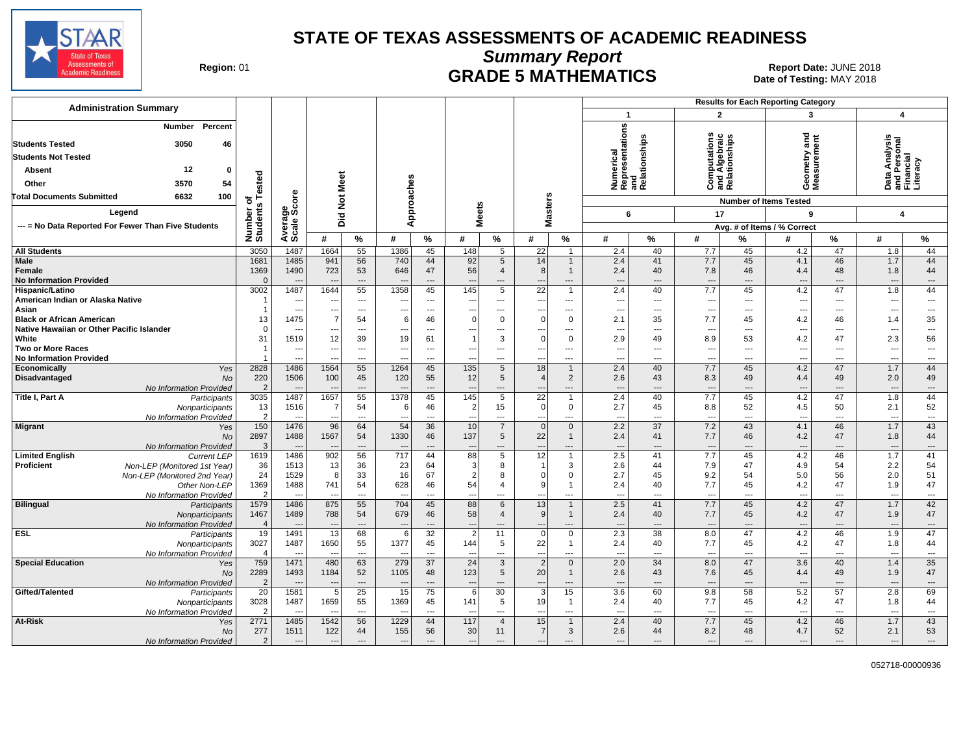

**Summary Report**

Region: 01 **Region: 01 CRADE 5 MATHEMATICS Date: JUNE 2018 Date: JUNE 2018** Date of Testing: MAY 2018

| <b>Administration Summary</b>                                                                                                                         |                                           |                                                    |                                            |                                      |                                             |                                        |                                      |                                        |                                                  |                                           |                                                                       |                                      | <b>Results for Each Reporting Category</b>    |                                        |                                                             |                                         |                                                          |                                            |
|-------------------------------------------------------------------------------------------------------------------------------------------------------|-------------------------------------------|----------------------------------------------------|--------------------------------------------|--------------------------------------|---------------------------------------------|----------------------------------------|--------------------------------------|----------------------------------------|--------------------------------------------------|-------------------------------------------|-----------------------------------------------------------------------|--------------------------------------|-----------------------------------------------|----------------------------------------|-------------------------------------------------------------|-----------------------------------------|----------------------------------------------------------|--------------------------------------------|
|                                                                                                                                                       |                                           |                                                    |                                            |                                      |                                             |                                        |                                      |                                        |                                                  |                                           | $\mathbf{1}$                                                          |                                      | $\overline{2}$                                |                                        | 3                                                           |                                         | $\overline{\mathbf{4}}$                                  |                                            |
| Percent<br><b>Number</b><br>3050<br><b>Students Tested</b><br>46<br><b>Students Not Tested</b><br>12<br>Absent<br>$\mathbf{0}$<br>3570<br>54<br>Other | ested                                     |                                                    | Meet                                       |                                      | Approaches                                  |                                        |                                      |                                        |                                                  |                                           | epresentations<br>Numerical<br>Representatior<br>and<br>Relationships |                                      | raic<br>ن                                     | and Algebraic<br>Relationships         | គ្គ<br>ស្រុ<br>Geometry:<br>Measuremo                       |                                         | Personal<br>Incial<br>Analysi<br><u> 혼</u><br>ಕ<br>ے ≌ ی | racv                                       |
| <b>Total Documents Submitted</b><br>6632<br>100                                                                                                       | 하                                         |                                                    | $\breve{\mathbf{z}}$                       |                                      |                                             |                                        |                                      |                                        |                                                  |                                           |                                                                       |                                      |                                               |                                        | <b>Number of Items Tested</b>                               |                                         |                                                          |                                            |
| Legend                                                                                                                                                | S                                         | ge<br>Score                                        |                                            |                                      |                                             |                                        | <b>Meets</b>                         |                                        | <b>Masters</b>                                   |                                           | 6                                                                     |                                      | 17                                            |                                        | 9                                                           |                                         | $\overline{\mathbf{4}}$                                  |                                            |
| --- = No Data Reported For Fewer Than Five Students                                                                                                   |                                           |                                                    | Did                                        |                                      |                                             |                                        |                                      |                                        |                                                  |                                           |                                                                       |                                      |                                               |                                        | Avg. # of Items / % Correct                                 |                                         |                                                          |                                            |
|                                                                                                                                                       | Number<br>Students                        | Averag<br>Scale                                    | #                                          | $\%$                                 | #                                           | $\%$                                   | #                                    | %                                      | #                                                | $\%$                                      | #                                                                     | %                                    | #                                             | ℅                                      | #                                                           | %                                       | #                                                        | $\%$                                       |
| <b>All Students</b>                                                                                                                                   | 3050                                      | 1487                                               | 1664                                       | 55                                   | 1386                                        | 45                                     | 148                                  | 5                                      | 22                                               | $\mathbf{1}$                              | 2.4                                                                   | 40                                   | 7.7                                           | 45                                     | 4.2                                                         | 47                                      | 1.8                                                      | 44                                         |
| Male<br>Female<br><b>No Information Provided</b>                                                                                                      | 1681<br>1369<br>$\Omega$                  | 1485<br>1490                                       | 941<br>723                                 | 56<br>53<br>---                      | 740<br>646                                  | 44<br>47<br>$\overline{a}$             | 92<br>56                             | 5<br>$\overline{4}$<br>---             | 14<br>8                                          | $\mathbf 1$<br>$\mathbf{1}$<br>---        | 2.4<br>2.4<br>$\overline{\phantom{a}}$                                | 41<br>40<br>$\overline{\phantom{a}}$ | 7.7<br>7.8<br>$\overline{\phantom{a}}$        | 45<br>46<br>$---$                      | 4.1<br>4.4<br>$\overline{a}$                                | 46<br>48<br>$\overline{a}$              | 1.7<br>1.8<br>$\overline{\phantom{a}}$                   | 44<br>44<br>$\overline{\phantom{a}}$       |
| Hispanic/Latino<br>American Indian or Alaska Native                                                                                                   | 3002                                      | 1487<br>$---$                                      | 1644<br>$\overline{\phantom{a}}$           | 55<br>$\overline{a}$                 | 1358<br>$\overline{a}$                      | 45<br>$\overline{a}$                   | 145<br>$\overline{a}$                | $\overline{5}$<br>$\overline{a}$       | 22<br>$\overline{a}$                             | $\overline{1}$<br>$\overline{a}$          | 2.4<br>$\overline{\phantom{a}}$                                       | 40<br>$\overline{a}$                 | 7.7<br>$\overline{\phantom{a}}$               | 45<br>---                              | 4.2<br>$\sim$                                               | 47<br>$---$                             | 1.8<br>$\overline{a}$                                    | 44<br>$\overline{\phantom{a}}$             |
| Asian<br><b>Black or African American</b><br>Native Hawaiian or Other Pacific Islander                                                                | 13<br>$\Omega$                            | $\overline{a}$<br>1475<br>$\overline{\phantom{a}}$ | ---<br>$\overline{7}$<br>---               | $\overline{a}$<br>54<br>$\cdots$     | 6                                           | $\overline{a}$<br>46<br>$\overline{a}$ | --<br>$\Omega$<br>---                | $\overline{a}$<br>$\mathbf 0$<br>---   | ---<br>$\Omega$                                  | ---<br>$\mathbf 0$<br>---                 | $\sim$<br>2.1<br>$\sim$                                               | ---<br>35<br>---                     | ---<br>7.7<br>---                             | $\overline{a}$<br>45<br>$\overline{a}$ | $\sim$<br>4.2<br>$\overline{a}$                             | $\overline{a}$<br>46<br>$---$           | ---<br>1.4<br>---                                        | ---<br>35<br>---                           |
| White<br><b>Two or More Races</b><br><b>No Information Provided</b>                                                                                   | 31<br>-1                                  | 1519<br>$\overline{a}$<br>$\overline{a}$           | 12<br>--<br>$\overline{\phantom{a}}$       | 39<br>---<br>$\overline{a}$          | 19<br>---<br>$\overline{a}$                 | 61<br>---<br>---                       | ---<br>$\overline{a}$                | 3<br>---<br>---                        | $\Omega$<br>---<br>---                           | $\mathbf 0$<br>---<br>---                 | 2.9<br>$\overline{\phantom{a}}$<br>---                                | 49<br>---<br>---                     | 8.9<br>---<br>---                             | 53<br>---<br>$\overline{a}$            | 4.2<br>$\overline{\phantom{a}}$<br>$\overline{\phantom{a}}$ | 47<br>$\overline{\phantom{a}}$<br>$---$ | 2.3<br>$\overline{\phantom{a}}$<br>---                   | 56<br>$---$<br>---                         |
| Economically<br>Yes                                                                                                                                   | 2828                                      | 1486                                               | 1564                                       | 55                                   | 1264                                        | 45                                     | 135                                  | 5                                      | 18                                               | $\mathbf{1}$                              | 2.4                                                                   | 40                                   | 7.7                                           | 45                                     | 4.2                                                         | 47                                      | 1.7                                                      | 44                                         |
| Disadvantaged<br><b>No</b>                                                                                                                            | 220                                       | 1506                                               | 100                                        | 45                                   | 120                                         | 55                                     | 12                                   | 5                                      | 4                                                | $\overline{2}$                            | 2.6                                                                   | 43                                   | 8.3                                           | 49                                     | 4.4                                                         | 49                                      | 2.0                                                      | 49                                         |
| No Information Provided<br>Title I, Part A                                                                                                            | $\overline{2}$<br>3035                    | $\overline{\phantom{a}}$<br>1487                   | 1657                                       | $\qquad \qquad \cdots$<br>55         | $\overline{\phantom{a}}$<br>1378            | ---<br>45                              | 145                                  | ---<br>5                               | $\overline{22}$                                  | ---<br>$\overline{1}$                     | $\overline{\phantom{a}}$<br>2.4                                       | ---<br>40                            | $\overline{\phantom{a}}$<br>7.7               | ---<br>45                              | $\overline{\phantom{a}}$<br>4.2                             | $\overline{a}$<br>47                    | $\overline{\phantom{a}}$<br>1.8                          | $\cdots$<br>44                             |
| Participants<br>Nonparticipants<br>No Information Provided                                                                                            | 13<br>$\overline{2}$                      | 1516                                               | 7<br>$\overline{a}$                        | 54<br>$\overline{a}$                 | 6                                           | 46<br>$\overline{a}$                   | 2                                    | 15<br>---                              | $\overline{0}$<br>---                            | $\mathbf 0$<br>---                        | 2.7<br>$\sim$                                                         | 45<br>---                            | 8.8<br>$\overline{\phantom{a}}$               | 52<br>$---$                            | 4.5<br>$\overline{\phantom{a}}$                             | 50<br>$\overline{\phantom{a}}$          | 2.1<br>$\overline{\phantom{a}}$                          | 52<br>$\overline{\phantom{a}}$             |
| <b>Migrant</b><br>Yes<br>No<br>No Information Provided                                                                                                | 150<br>2897<br>3                          | 1476<br>1488                                       | 96<br>1567                                 | 64<br>54<br>$\overline{\phantom{a}}$ | 54<br>1330                                  | 36<br>46<br>$\overline{\phantom{a}}$   | 10<br>137                            | $\overline{7}$<br>5<br>---             | $\mathbf{0}$<br>22<br>---                        | $\mathbf 0$<br>$\mathbf{1}$<br>---        | 2.2<br>2.4<br>$\overline{\phantom{a}}$                                | 37<br>41<br>---                      | 7.2<br>7.7<br>---                             | 43<br>46<br>$\overline{a}$             | 4.1<br>4.2<br>$\overline{\phantom{a}}$                      | 46<br>47<br>$\overline{a}$              | 1.7<br>1.8<br>---                                        | 43<br>44<br>$\cdots$                       |
| <b>Limited English</b><br><b>Current LEP</b>                                                                                                          | 1619                                      | 1486                                               | 902                                        | 56                                   | 717                                         | 44                                     | 88                                   | 5                                      | 12                                               | $\mathbf{1}$                              | 2.5                                                                   | 41                                   | 7.7                                           | 45                                     | 4.2                                                         | 46                                      | 1.7                                                      | 41                                         |
| <b>Proficient</b><br>Non-LEP (Monitored 1st Year)<br>Non-LEP (Monitored 2nd Year)<br>Other Non-LEP<br>No Information Provided                         | 36<br>24<br>1369<br>$\mathcal{P}$         | 1513<br>1529<br>1488<br>$\sim$                     | 13<br>8<br>741<br>$\overline{\phantom{a}}$ | 36<br>33<br>54<br>$\overline{a}$     | 23<br>16<br>628<br>$\overline{\phantom{a}}$ | 64<br>67<br>46<br>$\overline{a}$       | 3<br>$\overline{2}$<br>54<br>٠.      | 8<br>8<br>$\overline{4}$<br>---        | 1<br>$\Omega$<br>9<br>---                        | 3<br>$\mathbf 0$<br>$\overline{1}$<br>--- | 2.6<br>2.7<br>2.4<br>---                                              | 44<br>45<br>40<br>---                | 7.9<br>9.2<br>7.7<br>$\overline{\phantom{a}}$ | 47<br>54<br>45<br>$\overline{a}$       | 4.9<br>5.0<br>4.2<br>$\sim$                                 | 54<br>56<br>47<br>$\overline{a}$        | 2.2<br>2.0<br>1.9<br>$\overline{\phantom{a}}$            | 54<br>51<br>47<br>$\overline{\phantom{a}}$ |
| <b>Bilingual</b><br>Participants<br>Nonparticipants<br>No Information Provided                                                                        | 1579<br>1467<br>$\overline{4}$            | 1486<br>1489<br>$---$                              | 875<br>788<br>--                           | 55<br>54<br>$\overline{a}$           | 704<br>679<br>$\overline{\phantom{a}}$      | 45<br>46<br>$\overline{\phantom{a}}$   | 88<br>58<br>$\overline{\phantom{a}}$ | 6<br>$\overline{4}$<br>---             | 13<br>9 <sup>1</sup><br>$\overline{\phantom{a}}$ | $\overline{1}$<br>$\mathbf{1}$<br>---     | 2.5<br>2.4<br>$\overline{\phantom{a}}$                                | 41<br>40<br>$\overline{a}$           | 7.7<br>7.7<br>$---$                           | 45<br>45<br>$\overline{a}$             | 4.2<br>4.2<br>$\overline{\phantom{a}}$                      | 47<br>47<br>$---$                       | 1.7<br>1.9<br>$\overline{\phantom{a}}$                   | 42<br>47<br>$\cdots$                       |
| <b>ESL</b><br>Participants<br>Nonparticipants<br>No Information Provided                                                                              | 19<br>3027<br>$\overline{4}$              | 1491<br>1487<br>$\overline{\phantom{a}}$           | 13<br>1650<br>$\sim$                       | 68<br>55<br>$\cdots$                 | 6<br>1377<br>$\overline{\phantom{a}}$       | 32<br>45<br>---                        | 2<br>144                             | 11<br>5<br>---                         | $\mathbf 0$<br>22<br>$\overline{\phantom{a}}$    | $\mathbf 0$<br>$\mathbf{1}$<br>---        | 2.3<br>2.4<br>---                                                     | 38<br>40<br>---                      | 8.0<br>7.7<br>$\overline{\phantom{a}}$        | 47<br>45<br>---                        | 4.2<br>4.2<br>$\overline{\phantom{a}}$                      | 46<br>47<br>$\overline{\phantom{a}}$    | 1.9<br>1.8<br>$\overline{\phantom{a}}$                   | 47<br>44<br>$\overline{\phantom{a}}$       |
| <b>Special Education</b><br>Yes<br><b>No</b><br>No Information Provided                                                                               | 759<br>2289<br>$\overline{2}$             | 1471<br>1493<br>$\overline{\phantom{a}}$           | 480<br>1184<br>$\sim$                      | 63<br>52<br>---                      | 279<br>1105<br>$\overline{\phantom{a}}$     | 37<br>48<br>$\overline{\phantom{a}}$   | 24<br>123                            | $\overline{3}$<br>5<br>---             | $\overline{2}$<br>20<br>$\overline{\phantom{a}}$ | $\mathbf 0$<br>$\mathbf{1}$<br>---        | 2.0<br>2.6<br>$\overline{\phantom{a}}$                                | 34<br>43<br>---                      | 8.0<br>7.6<br>$\overline{\phantom{a}}$        | 47<br>45<br>---                        | 3.6<br>4.4<br>$\overline{\phantom{a}}$                      | 40<br>49<br>$\overline{a}$              | 1.4<br>1.9<br>$\overline{\phantom{a}}$                   | 35<br>47<br>$\cdots$                       |
| Gifted/Talented<br>Participants<br>Nonparticipants<br>No Information Provided                                                                         | $\overline{20}$<br>3028<br>$\overline{2}$ | 1581<br>1487                                       | 5<br>1659                                  | $\overline{25}$<br>55<br>---         | 15<br>1369<br>$\overline{\phantom{a}}$      | 75<br>45<br>---                        | 6<br>141                             | 30<br>5<br>---                         | $\mathbf{3}$<br>19<br>---                        | 15<br>$\overline{1}$<br>---               | 3.6<br>2.4<br>$\sim$                                                  | 60<br>40<br>---                      | 9.8<br>7.7<br>$\overline{\phantom{a}}$        | 58<br>45<br>---                        | 5.2<br>4.2<br>$\hspace{0.05cm} \ldots$                      | 57<br>47<br>$\overline{\phantom{a}}$    | 2.8<br>1.8<br>$\overline{\phantom{a}}$                   | 69<br>44<br>---                            |
| <b>At-Risk</b><br>Yes<br>No<br>No Information Provided                                                                                                | 2771<br>277<br>2                          | 1485<br>1511<br>$\overline{\phantom{a}}$           | 1542<br>122<br>$---$                       | 56<br>44<br>$\overline{a}$           | 1229<br>155<br>$\overline{\phantom{a}}$     | 44<br>56<br>$\overline{\phantom{a}}$   | 117<br>30<br>$\overline{a}$          | $\overline{4}$<br>11<br>$\overline{a}$ | 15<br>$\overline{7}$<br>$\overline{a}$           | $\mathbf{1}$<br>3<br>---                  | 2.4<br>2.6<br>$\overline{\phantom{a}}$                                | 40<br>44<br>---                      | 7.7<br>8.2<br>$---$                           | 45<br>48<br>$---$                      | 4.2<br>4.7<br>$---$                                         | 46<br>52<br>$---$                       | 1.7<br>2.1<br>$\overline{\phantom{a}}$                   | 43<br>53<br>$\cdots$                       |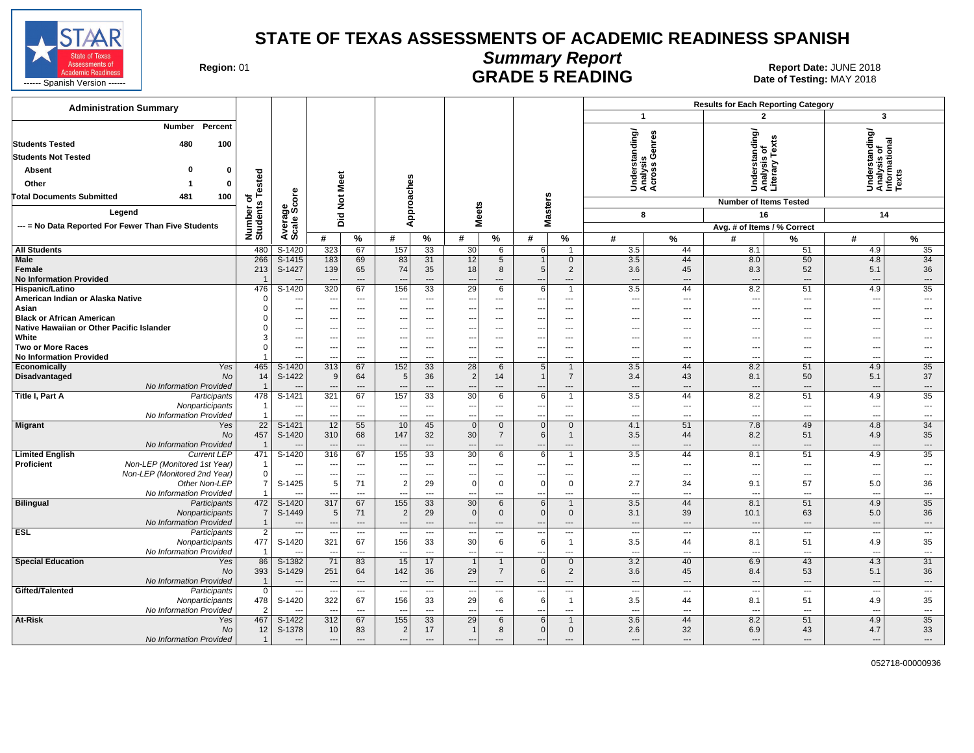

#### **Summary Report** Region: 01 **Region: 01 CALL CONSISTS AND CONTROLL SETS ARE SETS AND EXAMPLE 5 READING Report Date: JUNE 2018**

| <b>Administration Summary</b>                                    |                                  |                                                      |                                |                                   |                                                      |                                    |                                 |                                |                                                      |                                | <b>Results for Each Reporting Category</b> |                                             |                                  |                                                      |                                                |                              |  |
|------------------------------------------------------------------|----------------------------------|------------------------------------------------------|--------------------------------|-----------------------------------|------------------------------------------------------|------------------------------------|---------------------------------|--------------------------------|------------------------------------------------------|--------------------------------|--------------------------------------------|---------------------------------------------|----------------------------------|------------------------------------------------------|------------------------------------------------|------------------------------|--|
|                                                                  |                                  |                                                      |                                |                                   |                                                      |                                    |                                 |                                |                                                      |                                |                                            | $\mathbf{1}$                                |                                  | $\overline{2}$                                       | $\mathbf{3}$                                   |                              |  |
| Percent<br><b>Number</b><br>480<br>100<br><b>Students Tested</b> |                                  |                                                      |                                |                                   |                                                      |                                    |                                 |                                |                                                      |                                |                                            | Understanding/<br>Analysis<br>Across Genres | rstanding/<br>/sis of            | ഇ<br>Text                                            | Understanding/<br>Analysis of<br>Informational |                              |  |
| <b>Students Not Tested</b>                                       |                                  |                                                      |                                |                                   |                                                      |                                    |                                 |                                |                                                      |                                |                                            | ್ತ್ರ ಲೆ                                     |                                  |                                                      |                                                |                              |  |
| 0<br>Absent<br>0                                                 |                                  |                                                      |                                |                                   |                                                      |                                    |                                 |                                |                                                      |                                |                                            |                                             | 품 등                              | sis<br>Δæ.                                           |                                                |                              |  |
| Other<br>0<br>-1                                                 |                                  |                                                      |                                |                                   |                                                      |                                    |                                 |                                |                                                      |                                |                                            |                                             | ŠËŠ                              |                                                      |                                                | x<br>ڡ                       |  |
| <b>Total Documents Submitted</b><br>481<br>100                   |                                  |                                                      |                                |                                   |                                                      |                                    |                                 |                                |                                                      |                                |                                            |                                             |                                  |                                                      |                                                |                              |  |
| Legend                                                           | Number of<br>Students Tested     | <b>\verage<br/>Scale Score</b>                       | Did Not Meet                   |                                   | Approaches                                           |                                    |                                 | <b>Meets</b>                   | <b>Masters</b>                                       |                                |                                            |                                             | <b>Number of Items Tested</b>    |                                                      |                                                |                              |  |
| --- = No Data Reported For Fewer Than Five Students              |                                  |                                                      |                                |                                   |                                                      |                                    |                                 |                                |                                                      |                                |                                            | 8                                           | 16                               |                                                      | 14                                             |                              |  |
|                                                                  |                                  | ∢ທັ                                                  | #                              | $\%$                              | #                                                    | $\%$                               | #                               | %                              | #                                                    | %                              | #                                          | %                                           | Avg. # of Items / % Correct<br># | %                                                    | #                                              | %                            |  |
| <b>All Students</b>                                              | 480                              | S-1420                                               | 323                            | 67                                | 157                                                  | 33                                 | 30                              | 6                              | 6                                                    | $\mathbf{1}$                   | 3.5                                        | 44                                          | 8.1                              | 51                                                   | 4.9                                            | 35                           |  |
| <b>Male</b>                                                      | 266                              | $S-1415$                                             | 183                            | 69                                | 83                                                   | 31                                 | 12                              | 5                              | $\mathbf{1}$                                         | $\overline{0}$                 | 3.5                                        | 44                                          | 8.0                              | 50                                                   | 4.8                                            | 34                           |  |
| Female                                                           | 213                              | S-1427                                               | 139                            | 65                                | 74                                                   | 35                                 | 18                              | 8                              | 5 <sup>1</sup>                                       | 2                              | 3.6                                        | 45                                          | 8.3                              | 52                                                   | 5.1                                            | 36                           |  |
| <b>No Information Provided</b>                                   | $\overline{\mathbf{1}}$          |                                                      | $\overline{a}$                 | $\sim$                            | $\overline{\phantom{a}}$                             | $\overline{\phantom{a}}$           | $\overline{a}$                  | ---                            | $\overline{a}$                                       | $\overline{a}$                 | $\overline{a}$                             | $---$                                       | $\overline{a}$                   | $\overline{\phantom{a}}$                             | ---                                            | $\overline{a}$               |  |
| Hispanic/Latino                                                  | 476                              | $S-1420$                                             | 320                            | 67                                | 156                                                  | $\overline{33}$                    | $\overline{29}$                 | 6                              | 6 <sup>1</sup>                                       | $\mathbf{1}$                   | 3.5                                        | 44                                          | 8.2                              | 51                                                   | 4.9                                            | $\overline{35}$              |  |
| American Indian or Alaska Native                                 | $\mathbf 0$                      | $\overline{\phantom{a}}$                             | ---                            | $\hspace{0.05cm} \ldots$          | $\overline{\phantom{a}}$                             | $\overline{\phantom{a}}$           | ---                             | ---                            | $\hspace{0.05cm} \ldots$                             | ---                            | $\overline{\phantom{a}}$                   | $---$                                       | $\overline{\phantom{a}}$         | ---                                                  | ---                                            | ---                          |  |
| Asian                                                            | $\mathbf 0$                      | $\sim$                                               | ---                            | $---$                             | ---                                                  | $\overline{a}$                     | $\overline{\phantom{a}}$        | $---$                          | $\overline{\phantom{a}}$                             | $---$                          | $\overline{a}$                             | $---$                                       | $\overline{a}$                   | $\overline{\phantom{a}}$                             | ---                                            | ---                          |  |
| <b>Black or African American</b>                                 | 0                                | $\overline{\phantom{a}}$                             | ---                            | $---$                             | $\overline{\phantom{a}}$                             | $---$                              | $\overline{\phantom{a}}$        | ---                            | $\overline{\phantom{a}}$                             | $\cdots$                       | $\overline{\phantom{a}}$                   | ---                                         | ---                              | ---                                                  | ---                                            |                              |  |
| Native Hawaiian or Other Pacific Islander                        | $\Omega$                         | $\overline{\phantom{a}}$                             | ---                            | $\overline{\phantom{a}}$          | $\overline{\phantom{a}}$                             | ---                                | $\overline{\phantom{a}}$        | ---                            | $\overline{\phantom{a}}$                             | $\overline{\phantom{a}}$       | $\overline{\phantom{a}}$                   | ---                                         | ---                              | ---                                                  | ---                                            |                              |  |
| White<br><b>Two or More Races</b>                                | 3<br>$\mathbf 0$                 | $\overline{\phantom{a}}$<br>$\overline{\phantom{a}}$ | ---<br>---                     | $---$<br>$\overline{\phantom{a}}$ | $\overline{\phantom{a}}$<br>$\overline{\phantom{a}}$ | $\overline{\phantom{a}}$<br>$\sim$ | ---<br>$\overline{\phantom{a}}$ | $---$<br>$---$                 | $\overline{\phantom{a}}$<br>$\overline{\phantom{a}}$ | $---$<br>$---$                 | $\sim$<br>$---$                            | ---<br>$\overline{a}$                       | $---$<br>---                     | $\hspace{0.05cm} \ldots$<br>$\overline{\phantom{a}}$ | ---<br>---                                     | $---$                        |  |
| <b>No Information Provided</b>                                   |                                  | $\overline{a}$                                       |                                | $\overline{a}$                    | $\overline{\phantom{a}}$                             | $---$                              | $\overline{\phantom{a}}$        | $---$                          | --                                                   | $\overline{a}$                 | $\scriptstyle\cdots$                       | ---                                         | ---                              | ---                                                  | ---                                            | $\hspace{0.05cm} \ldots$     |  |
| Yes<br>Economically                                              | 465                              | $S-1420$                                             | 313                            | 67                                | 152                                                  | 33                                 | 28                              | 6                              | 5                                                    | $\mathbf{1}$                   | 3.5                                        | 44                                          | 8.2                              | 51                                                   | 4.9                                            | 35                           |  |
| Disadvantaged<br>No                                              | 14                               | S-1422                                               | 9                              | 64                                | 5                                                    | 36                                 | $\overline{2}$                  | 14                             | $\overline{1}$                                       | $\overline{7}$                 | 3.4                                        | 43                                          | 8.1                              | 50                                                   | 5.1                                            | 37                           |  |
| No Information Provided                                          | $\overline{1}$                   |                                                      |                                | $---$                             |                                                      |                                    | $\overline{\phantom{a}}$        | ---                            | $\overline{\phantom{a}}$                             | ---                            | $\overline{\phantom{a}}$                   | $\overline{a}$                              | $\overline{a}$                   | ---                                                  |                                                | $\hspace{1.5cm} \ldots$      |  |
| Title I, Part A<br>Participants                                  | 478                              | $S-1421$                                             | 321                            | 67                                | 157                                                  | 33                                 | 30                              | 6                              | $6 \mid$                                             | $\mathbf{1}$                   | 3.5                                        | 44                                          | 8.2                              | 51                                                   | 4.9                                            | 35                           |  |
| Nonparticipants                                                  | $\overline{1}$                   | $\sim$                                               | $\overline{a}$                 | $---$                             | $\overline{\phantom{a}}$                             | $\sim$                             | ---                             | $\overline{a}$                 | $\overline{\phantom{a}}$                             | $\overline{a}$                 | $\overline{a}$                             | $---$                                       | $\overline{a}$                   | $\sim$                                               | $\overline{\phantom{a}}$                       | $\overline{a}$               |  |
| No Information Provided                                          | $\overline{1}$                   |                                                      | ---                            | $\overline{a}$                    | $\overline{\phantom{a}}$                             | $\overline{a}$                     | $\overline{\phantom{a}}$        |                                | $\overline{\phantom{a}}$                             | $---$                          | $\overline{\phantom{a}}$                   | ---                                         | $\overline{a}$                   | $\overline{a}$                                       | ---                                            | $\overline{\phantom{a}}$     |  |
| <b>Migrant</b><br>Yes<br>No                                      | $\overline{22}$<br>457           | $S-1421$<br>S-1420                                   | 12<br>310                      | 55<br>68                          | 10<br>147                                            | 45<br>32                           | $\mathbf{0}$<br>30              | $\mathbf{0}$<br>$\overline{7}$ | $\overline{0}$<br>$6 \mid$                           | $\overline{0}$<br>$\mathbf{1}$ | 4.1<br>3.5                                 | 51<br>44                                    | 7.8<br>8.2                       | 49<br>51                                             | 4.8<br>4.9                                     | $\overline{34}$<br>35        |  |
| No Information Provided                                          | $\overline{\mathbf{1}}$          |                                                      | $\overline{\phantom{a}}$       | $---$                             | $\overline{\phantom{a}}$                             | $---$                              | $\overline{a}$                  | $---$                          | $\overline{a}$                                       | $---$                          | $---$                                      | $---$                                       | $---$                            | $---$                                                | $\overline{\phantom{a}}$                       | $---$                        |  |
| <b>Limited English</b><br><b>Current LEP</b>                     | 471                              | $S-1420$                                             | 316                            | 67                                | 155                                                  | $\overline{33}$                    | 30                              | 6                              | 6 <sup>1</sup>                                       | 1                              | 3.5                                        | 44                                          | 8.1                              | 51                                                   | 4.9                                            | 35                           |  |
| Proficient<br>Non-LEP (Monitored 1st Year)                       | $\overline{1}$                   | $\overline{\phantom{a}}$                             | ---                            | $---$                             | $\overline{\phantom{a}}$                             | $\overline{\phantom{a}}$           | $\overline{\phantom{a}}$        | ---                            | ---                                                  | $\overline{a}$                 | $\overline{\phantom{a}}$                   | $\overline{\phantom{a}}$                    | ---                              | $\overline{\phantom{a}}$                             | ---                                            | ---                          |  |
| Non-LEP (Monitored 2nd Year)                                     | $\mathbf 0$                      | $\overline{\phantom{a}}$                             | ---                            | $\qquad \qquad \cdots$            | $\overline{\phantom{a}}$                             | $\overline{\phantom{a}}$           | ---                             | $---$                          | $\overline{\phantom{a}}$                             | $\cdots$                       | $\scriptstyle\cdots$                       | $\overline{\phantom{a}}$                    | ---                              | $\hspace{0.05cm} \cdots$                             | $\overline{\phantom{a}}$                       | $\overline{\phantom{a}}$     |  |
| Other Non-LEP                                                    | 7                                | S-1425                                               | 5                              | 71                                | $\overline{2}$                                       | 29                                 | $\Omega$                        | 0                              | 0                                                    | $\mathbf 0$                    | 2.7                                        | 34                                          | 9.1                              | 57                                                   | 5.0                                            | 36                           |  |
| No Information Provided                                          |                                  |                                                      |                                | $\overline{a}$                    | $\overline{\phantom{a}}$                             | $\overline{\phantom{a}}$           | $\overline{\phantom{a}}$        | ---                            | $\overline{\phantom{a}}$                             | $\overline{a}$                 | $\overline{\phantom{a}}$                   | ---                                         | $\overline{a}$                   | ---                                                  | ---                                            | $\overline{\phantom{a}}$     |  |
| <b>Bilingual</b><br>Participants                                 | 472                              | S-1420                                               | 317                            | 67                                | 155                                                  | 33                                 | 30                              | 6                              | 6                                                    | $\mathbf{1}$                   | 3.5                                        | 44                                          | 8.1                              | 51                                                   | 4.9                                            | 35                           |  |
| Nonparticipants<br>No Information Provided                       | $\overline{7}$<br>$\overline{1}$ | S-1449                                               | 5<br>$\overline{\phantom{a}}$  | 71<br>$\qquad \qquad \cdots$      | $\overline{2}$                                       | 29<br>$\overline{\phantom{a}}$     | $\Omega$                        | $\mathbf{0}$<br>---            | $\Omega$<br>$\overline{\phantom{a}}$                 | $\mathbf{0}$<br>---            | 3.1<br>$\overline{\phantom{a}}$            | 39<br>$\cdots$                              | 10.1<br>$\overline{\phantom{a}}$ | 63<br>$\cdots$                                       | 5.0<br>$\overline{\phantom{a}}$                | 36<br>$\qquad \qquad \cdots$ |  |
| <b>ESL</b><br>Participants                                       | $\overline{2}$                   | $\overline{a}$                                       | ---                            | $\hspace{0.05cm} \ldots$          | $\overline{\phantom{a}}$<br>$\overline{\phantom{a}}$ | $\overline{\phantom{a}}$           | ---<br>$\overline{\phantom{a}}$ | ---                            | ---                                                  | ---                            | $\overline{\phantom{a}}$                   | $\overline{\phantom{a}}$                    | $\overline{\phantom{a}}$         | $\hspace{0.05cm} \cdots$                             | $\overline{\phantom{a}}$                       | $\overline{\phantom{a}}$     |  |
| Nonparticipants                                                  | 477                              | S-1420                                               | 321                            | 67                                | 156                                                  | 33                                 | 30                              | 6                              | 6                                                    | $\mathbf{1}$                   | 3.5                                        | 44                                          | 8.1                              | 51                                                   | 4.9                                            | 35                           |  |
| No Information Provided                                          | $\overline{1}$                   |                                                      | ---                            | $\overline{a}$                    | $\overline{\phantom{a}}$                             | ---                                | $\overline{\phantom{a}}$        | ---                            | $\overline{\phantom{a}}$                             | ---                            | $\overline{\phantom{a}}$                   | ---                                         | ---                              | ---                                                  | $\overline{\phantom{a}}$                       | ---                          |  |
| <b>Special Education</b><br>Yes                                  | 86                               | S-1382                                               | 71                             | 83                                | 15                                                   | 17                                 | $\overline{1}$                  | $\mathbf{1}$                   | $\overline{0}$                                       | $\mathbf 0$                    | 3.2                                        | 40                                          | 6.9                              | 43                                                   | 4.3                                            | 31                           |  |
| No                                                               | 393                              | S-1429                                               | 251                            | 64                                | 142                                                  | 36                                 | 29                              | $\overline{7}$                 | $6 \mid$                                             | 2                              | 3.6                                        | 45                                          | 8.4                              | 53                                                   | 5.1                                            | 36                           |  |
| No Information Provided                                          | $\overline{1}$                   |                                                      | $\overline{\phantom{a}}$       | $---$                             | $\overline{\phantom{a}}$                             | $---$                              | $\overline{\phantom{a}}$        | $\cdots$                       | $\overline{\phantom{a}}$                             | $---$                          | $\overline{\phantom{a}}$                   | $\overline{\phantom{a}}$                    | $\overline{a}$                   | $\overline{\phantom{a}}$                             | $\overline{\phantom{a}}$                       | $\overline{\phantom{a}}$     |  |
| Gifted/Talented<br>Participants                                  | $\overline{0}$                   | $\overline{\phantom{a}}$                             | $\overline{a}$                 | $---$                             | $\overline{\phantom{a}}$                             | $\overline{\phantom{a}}$           | $\overline{a}$                  | ---                            | $\ddotsc$                                            | ---                            | $\overline{\phantom{a}}$                   | ---                                         | $\overline{a}$                   | $\overline{\phantom{a}}$                             | $\overline{\phantom{a}}$                       | $\overline{\phantom{a}}$     |  |
| Nonparticipants                                                  | 478                              | S-1420                                               | 322                            | 67                                | 156                                                  | 33                                 | 29                              | 6                              | 6                                                    | $\mathbf{1}$                   | 3.5                                        | 44                                          | 8.1                              | 51                                                   | 4.9                                            | 35                           |  |
| No Information Provided                                          | $\overline{2}$                   |                                                      | $\overline{a}$                 | $---$                             | $\overline{\phantom{a}}$                             | $\sim$                             | $\overline{a}$                  | $\overline{a}$                 | ---                                                  | $---$                          | $---$                                      | $---$                                       | $---$                            | $\sim$                                               | $\overline{\phantom{a}}$                       | $---$                        |  |
| At-Risk<br>Yes                                                   | 467                              | S-1422                                               | 312                            | 67                                | 155<br>$\overline{2}$                                | 33<br>17                           | 29<br>$\overline{1}$            | 6                              | 6<br>$\overline{0}$                                  | 1<br>$\mathbf 0$               | 3.6                                        | 44                                          | 8.2                              | 51<br>43                                             | 4.9<br>4.7                                     | 35<br>33                     |  |
| No<br>No Information Provided                                    | 12<br>$\mathbf{1}$               | S-1378<br>$\overline{\phantom{a}}$                   | 10<br>$\overline{\phantom{a}}$ | 83<br>$---$                       | $\overline{\phantom{a}}$                             | $---$                              | $\overline{\phantom{a}}$        | 8<br>$---$                     | $\overline{\phantom{a}}$                             | $\overline{a}$                 | 2.6<br>$\overline{\phantom{a}}$            | 32<br>---                                   | 6.9<br>$---$                     | $\overline{\phantom{a}}$                             | $\overline{\phantom{a}}$                       | $\hspace{1.5cm} \dots$       |  |
|                                                                  |                                  |                                                      |                                |                                   |                                                      |                                    |                                 |                                |                                                      |                                |                                            |                                             |                                  |                                                      |                                                |                              |  |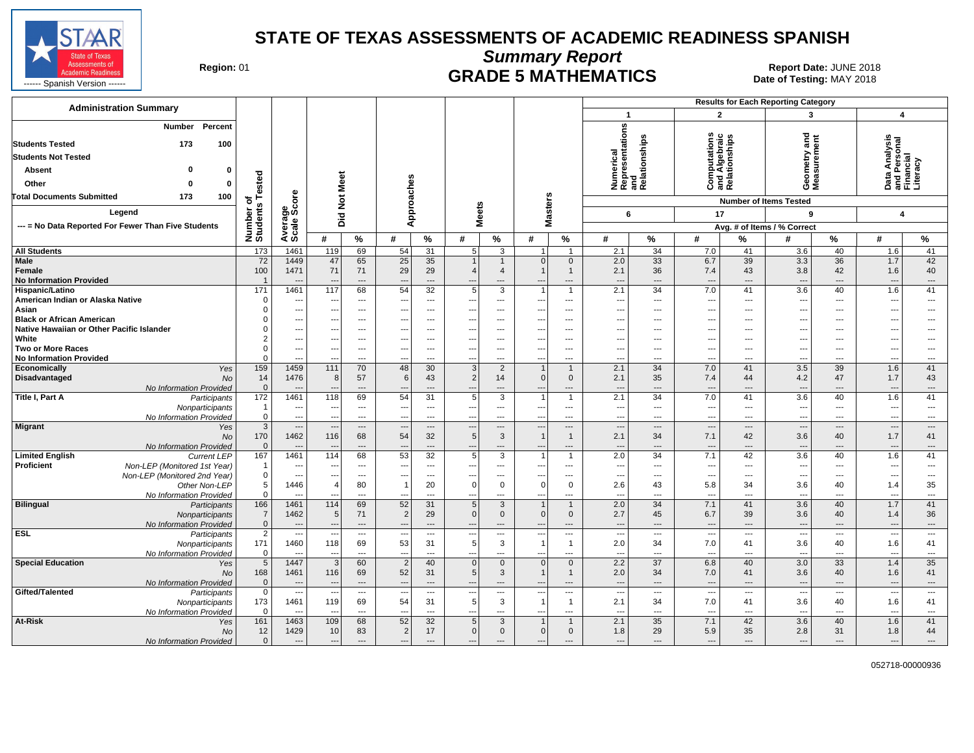

**Summary Report**

Region: 01 **Region: 01 CRADE 5 MATHEMATICS Date: JUNE 2018 Date: JUNE 2018** 

| <b>Administration Summary</b>                                                                               |                                 |                                  |                                  |                                  |                                      |                                                  |                               |                                       |                                                                      |                                            |                                                             |                                | <b>Results for Each Reporting Category</b> |                                        |                                          |                               |                                          |                                            |
|-------------------------------------------------------------------------------------------------------------|---------------------------------|----------------------------------|----------------------------------|----------------------------------|--------------------------------------|--------------------------------------------------|-------------------------------|---------------------------------------|----------------------------------------------------------------------|--------------------------------------------|-------------------------------------------------------------|--------------------------------|--------------------------------------------|----------------------------------------|------------------------------------------|-------------------------------|------------------------------------------|--------------------------------------------|
|                                                                                                             |                                 |                                  |                                  |                                  |                                      |                                                  |                               |                                       |                                                                      |                                            | $\mathbf{1}$                                                |                                | $\overline{2}$                             |                                        | 3                                        |                               | $\overline{\mathbf{4}}$                  |                                            |
| Percent<br>Number<br><b>Students Tested</b><br>173<br>100<br><b>Students Not Tested</b><br>n<br>Absent<br>0 |                                 |                                  |                                  |                                  |                                      |                                                  |                               |                                       |                                                                      |                                            | Numerical<br>Representations<br>and<br>Relationships        |                                |                                            | and Algebraic<br>Relationships         | $\frac{2}{10}$<br>Geometry:<br>Measuremo |                               | a Analysis<br>Personal<br>Incial         | racy                                       |
| Other<br>o<br>0                                                                                             | ested                           |                                  | Meet                             |                                  |                                      |                                                  |                               |                                       |                                                                      |                                            |                                                             |                                | ξ                                          |                                        |                                          |                               | ' 몯 로<br>នី ខ្លួ <u>គ្ន</u><br>កំពុំ គ្ន |                                            |
| <b>Total Documents Submitted</b><br>173<br>100                                                              | ৳                               | <b>a</b>                         |                                  |                                  | Approaches                           |                                                  |                               |                                       |                                                                      |                                            |                                                             |                                | ပ                                          |                                        |                                          |                               |                                          |                                            |
| Legend                                                                                                      | S                               |                                  | $\frac{5}{2}$                    |                                  |                                      |                                                  | <b>Meets</b>                  |                                       | <b>Masters</b>                                                       |                                            | 6                                                           |                                | 17                                         |                                        | <b>Number of Items Tested</b><br>9       |                               | $\overline{\mathbf{4}}$                  |                                            |
| --- = No Data Reported For Fewer Than Five Students                                                         |                                 |                                  | Did                              |                                  |                                      |                                                  |                               |                                       |                                                                      |                                            |                                                             |                                |                                            |                                        | Avg. # of Items / % Correct              |                               |                                          |                                            |
|                                                                                                             | Number<br>Students              | Average<br>Scale Sco             | #                                | $\%$                             | #                                    | $\%$                                             | #                             | $\%$                                  | #                                                                    | $\%$                                       | #                                                           | %                              | #                                          | %                                      | #                                        | %                             | #                                        | $\frac{9}{6}$                              |
| <b>All Students</b>                                                                                         | 173                             | 1461                             | 119                              | 69                               | 54                                   | $\overline{31}$                                  | 5                             | $\overline{3}$                        |                                                                      | $\overline{1}$                             | 2.1                                                         | 34                             | 7.0                                        | 41                                     | 3.6                                      | 40                            | 1.6                                      | 41                                         |
| Male<br>Female<br><b>No Information Provided</b>                                                            | 72<br>100                       | 1449<br>1471                     | 47<br>71                         | 65<br>71                         | 25<br>29<br>$\overline{\phantom{a}}$ | 35<br>29<br>$\cdots$                             | $\overline{4}$                | $\mathbf{1}$<br>$\overline{4}$<br>--- | $\mathbf{0}$<br>$\mathbf{1}$<br>$\overline{\phantom{a}}$             | $\mathbf 0$<br>$\mathbf{1}$<br>---         | 2.0<br>2.1<br>$\overline{\phantom{a}}$                      | 33<br>36<br>---                | 6.7<br>7.4<br>$\overline{\phantom{a}}$     | 39<br>43<br>---                        | 3.3<br>3.8<br>$\overline{\phantom{a}}$   | 36<br>42<br>---               | 1.7<br>1.6<br>$\overline{\phantom{a}}$   | 42<br>40<br>$\qquad \qquad \cdots$         |
| Hispanic/Latino                                                                                             | 171                             | 1461                             | 117                              | 68                               | 54                                   | 32                                               | 5                             | 3                                     | $\mathbf 1$                                                          | $\overline{1}$                             | 2.1                                                         | 34                             | 7.0                                        | 41                                     | 3.6                                      | 40                            | 1.6                                      | 41                                         |
| American Indian or Alaska Native                                                                            | C                               | $\ddotsc$                        | $\sim$                           | $---$                            |                                      | $---$                                            | ---                           | ---                                   | $---$                                                                | ---                                        | $\cdots$                                                    | ---                            | $\overline{\phantom{a}}$                   | $---$                                  | $\sim$                                   | ---                           | ---                                      | $\overline{\phantom{a}}$                   |
| Asian<br><b>Black or African American</b>                                                                   |                                 | ---<br>$\hspace{0.05cm} \ldots$  | ---                              | ---<br>$---$                     |                                      | ---<br>$---$                                     | ---                           | ---<br>---                            | ---                                                                  | ---<br>---                                 | $\sim$<br>---                                               | ---<br>---                     | ---<br>$---$                               | ---<br>$---$                           | ---                                      | ---<br>---                    | ---<br>---                               | ---<br>---                                 |
| Native Hawaiian or Other Pacific Islander                                                                   |                                 | $\overline{a}$                   | --                               | $---$                            |                                      | $\overline{a}$                                   | ---                           | $\overline{a}$                        | ---                                                                  | $---$                                      | ---                                                         | ---                            | $---$                                      | $---$                                  | $\sim$                                   | $---$                         | ---                                      | ---                                        |
| White                                                                                                       |                                 | ---                              |                                  | ---                              |                                      | $\overline{a}$                                   | ---                           | ---                                   | ---                                                                  | ---                                        | --                                                          | ---                            | ---                                        | ---                                    | $\overline{a}$                           | ---                           | ---                                      | ---                                        |
| <b>Two or More Races</b>                                                                                    |                                 | $\overline{\phantom{a}}$         | ---                              | $\overline{\phantom{a}}$         | $--$                                 | $---$                                            | ---                           | ---                                   | ---                                                                  | ---                                        | ---                                                         | ---                            | $---$                                      | ---                                    | $\overline{\phantom{a}}$                 | ---                           | ---                                      | ---                                        |
| <b>No Information Provided</b>                                                                              |                                 | $\overline{a}$                   | $\overline{a}$                   | $---$                            | ---                                  | $\overline{a}$                                   | ---                           | $---$                                 | $\overline{a}$                                                       | ---                                        | ---                                                         | ---                            | $---$                                      | $---$                                  | $\sim$                                   | $---$                         | $\overline{a}$                           | $---$                                      |
| Economically<br>Yes                                                                                         | 159<br>14                       | 1459<br>1476                     | 111                              | 70<br>57                         | 48<br>6                              | 30<br>43                                         | 3<br>2                        | 2<br>14                               | $\overline{1}$<br>$\overline{0}$                                     | $\overline{1}$                             | 2.1<br>2.1                                                  | 34<br>35                       | 7.0<br>7.4                                 | 41<br>44                               | 3.5<br>4.2                               | 39<br>47                      | 1.6<br>1.7                               | 41                                         |
| Disadvantaged<br><b>No</b><br>No Information Provided                                                       | $\mathbf{0}$                    | $---$                            | 8                                | $\overline{a}$                   |                                      | $\overline{a}$                                   |                               | ---                                   | ---                                                                  | $\mathbf 0$<br>---                         | $\overline{\phantom{a}}$                                    | ---                            | $---$                                      | $---$                                  | $\overline{\phantom{a}}$                 | ---                           | $\overline{\phantom{a}}$                 | 43<br>$\cdots$                             |
| Title I, Part A<br>Participants                                                                             | 172                             | 1461                             | 118                              | 69                               | 54                                   | 31                                               | 5                             | $\overline{3}$                        | $\mathbf 1$                                                          | $\overline{1}$                             | 2.1                                                         | 34                             | 7.0                                        | 41                                     | 3.6                                      | 40                            | 1.6                                      | 41                                         |
| Nonparticipants                                                                                             | $\overline{\mathbf{1}}$         | $\hspace{0.05cm} \ldots$         | $\overline{\phantom{a}}$         | $\overline{\phantom{a}}$         | ---                                  | $\hspace{0.05cm} \ldots$                         | ---                           | ---                                   | ---                                                                  | ---                                        | $\overline{\phantom{a}}$                                    | ---                            | $\qquad \qquad \cdots$                     | ---                                    | $\overline{\phantom{a}}$                 | $\qquad \qquad \cdots$        | $\overline{\phantom{a}}$                 | $\cdots$                                   |
| No Information Provided                                                                                     | $\mathbf 0$                     | ---                              |                                  | $\overline{\phantom{a}}$         | ---                                  | ---                                              | $\overline{\phantom{a}}$      | ---                                   | $\overline{\phantom{a}}$                                             | ---                                        | $\overline{\phantom{a}}$                                    | ---                            | ---                                        | ---                                    | $\overline{\phantom{a}}$                 | ---                           | $\overline{\phantom{a}}$                 | $---$                                      |
| <b>Migrant</b><br>Yes<br><b>No</b><br>No Information Provided                                               | $\mathbf{3}$<br>170<br>$\Omega$ | $\overline{a}$<br>1462           | ---<br>116                       | $\cdots$<br>68<br>$\overline{a}$ | $\overline{\phantom{a}}$<br>54       | $\overline{\phantom{a}}$<br>32<br>$\overline{a}$ | $\overline{\phantom{a}}$<br>5 | $---$<br>$\mathbf{3}$<br>---          | $\overline{\phantom{a}}$<br>$\mathbf{1}$<br>$\overline{\phantom{a}}$ | $---$<br>$\overline{1}$<br>---             | $\overline{\phantom{a}}$<br>2.1<br>$\overline{\phantom{a}}$ | $\sim$<br>34<br>$\overline{a}$ | $\cdots$<br>7.1<br>$---$                   | $\overline{a}$<br>42<br>$\overline{a}$ | $\overline{\phantom{a}}$<br>3.6<br>$---$ | $---$<br>40<br>$\overline{a}$ | $\overline{\phantom{a}}$<br>1.7<br>---   | $\overline{\phantom{a}}$<br>41<br>$\cdots$ |
| <b>Limited English</b><br><b>Current LEP</b>                                                                | 167                             | 1461                             | 114                              | 68                               | 53                                   | 32                                               | 5                             | $\overline{3}$                        | $\overline{1}$                                                       | $\overline{1}$                             | 2.0                                                         | 34                             | 7.1                                        | 42                                     | 3.6                                      | 40                            | 1.6                                      | 41                                         |
| Proficient<br>Non-LEP (Monitored 1st Year)                                                                  | $\overline{\mathbf{1}}$         | ---                              | ---                              | $\overline{\phantom{a}}$         | ---                                  | ---                                              | ---                           | ---                                   | ---                                                                  | ---                                        | $\overline{\phantom{a}}$                                    | ---                            | ---                                        | ---                                    | $\overline{\phantom{a}}$                 | ---                           | $\overline{\phantom{a}}$                 | ---                                        |
| Non-LEP (Monitored 2nd Year)<br>Other Non-LEP                                                               | $\Omega$<br>5                   | ---<br>1446                      | $\overline{a}$<br>$\overline{4}$ | $\cdots$<br>80                   | $\overline{1}$                       | $\overline{\phantom{a}}$<br>20                   | $\mathbf 0$                   | ---<br>$\mathbf 0$                    | ---<br>0                                                             | ---<br>$\mathbf 0$                         | --<br>2.6                                                   | ---<br>43                      | $\overline{\phantom{a}}$<br>5.8            | ---<br>34                              | $\overline{\phantom{a}}$<br>3.6          | ---<br>40                     | ---<br>1.4                               | $\overline{\phantom{a}}$<br>35             |
| No Information Provided                                                                                     | $\Omega$                        | $\sim$                           | $\overline{a}$                   | $---$                            | $\overline{a}$                       | $---$                                            | ---                           | $\overline{a}$                        | $\sim$                                                               | $\sim$                                     | ---                                                         | $\overline{\phantom{a}}$       | $\overline{\phantom{a}}$                   | $---$                                  | $\sim$                                   | $---$                         | $\overline{a}$                           | $\hspace{0.05cm} \ldots$                   |
| <b>Bilingual</b><br>Participants                                                                            | 166                             | 1461                             | 114                              | 69                               | 52                                   | 31                                               | 5                             | 3                                     |                                                                      | $\mathbf{1}$                               | 2.0                                                         | 34                             | 7.1                                        | 41                                     | 3.6                                      | 40                            | 1.7                                      | 41                                         |
| Nonparticipants                                                                                             | $\overline{7}$                  | 1462                             | 5 <sup>5</sup>                   | 71                               | $\overline{2}$                       | 29                                               | $\mathbf{0}$                  | $\mathbf 0$                           | $\overline{0}$                                                       | $\mathbf 0$                                | 2.7                                                         | 45                             | 6.7                                        | 39                                     | 3.6                                      | 40                            | 1.4                                      | 36                                         |
| No Information Provided                                                                                     | $\overline{0}$                  | $\overline{\phantom{a}}$         | $\overline{\phantom{a}}$         | $\hspace{1.5cm} \textbf{---}$    | $\overline{\phantom{a}}$             | $\overline{\phantom{a}}$                         | $\overline{\phantom{a}}$      | ---                                   | $\overline{\phantom{a}}$                                             | $---$                                      | $\overline{\phantom{a}}$                                    | $\overline{\phantom{a}}$       | $\overline{\phantom{a}}$                   | $---$                                  | $---$                                    | $\cdots$                      | $\overline{\phantom{a}}$                 | $\hspace{0.05cm} \ldots$                   |
| <b>ESL</b><br>Participants                                                                                  | $\overline{2}$<br>171           | $\hspace{0.05cm} \ldots$<br>1460 | 118                              | $\cdots$<br>69                   | 53                                   | $\hspace{0.05cm} \ldots$<br>31                   | 5                             | ---<br>$\mathbf{3}$                   | ---<br>$\overline{1}$                                                | ---<br>$\overline{1}$                      | --<br>2.0                                                   | ---<br>34                      | $\qquad \qquad \cdots$<br>7.0              | ---<br>41                              | $\overline{\phantom{a}}$<br>3.6          | ---<br>40                     | $\overline{\phantom{a}}$<br>1.6          | $\hspace{0.05cm} \ldots$<br>41             |
| Nonparticipants<br>No Information Provided                                                                  | $\mathbf 0$                     | $---$                            | $\sim$                           | $\overline{a}$                   | $\overline{\phantom{a}}$             | $\overline{\phantom{a}}$                         | $\overline{a}$                | $\overline{a}$                        | $\overline{a}$                                                       | $\overline{\phantom{a}}$                   | $\overline{\phantom{a}}$                                    | $\overline{\phantom{a}}$       | $\overline{\phantom{a}}$                   | ---                                    | $\sim$                                   | $\overline{a}$                | $\overline{\phantom{a}}$                 | $\overline{a}$                             |
| <b>Special Education</b><br>Yes                                                                             | 5                               | 1447                             | $\overline{3}$                   | 60                               | $\overline{2}$                       | 40                                               | $\Omega$                      | $\mathbf 0$                           | $\Omega$                                                             | $\mathbf 0$                                | 2.2                                                         | $\overline{37}$                | 6.8                                        | 40                                     | 3.0                                      | 33                            | 1.4                                      | 35                                         |
| <b>No</b>                                                                                                   | 168                             | 1461                             | 116                              | 69                               | 52                                   | 31                                               | 5                             | 3                                     | $\mathbf{1}$                                                         | $\mathbf{1}$                               | 2.0                                                         | 34                             | 7.0                                        | 41                                     | 3.6                                      | 40                            | 1.6                                      | 41                                         |
| No Information Provided                                                                                     | $\overline{0}$                  | $---$                            | $\overline{\phantom{a}}$         | $---$                            | $\overline{\phantom{a}}$             | $---$                                            | $\overline{\phantom{a}}$      | ---                                   | $\overline{\phantom{a}}$                                             | $---$                                      | $\overline{\phantom{a}}$                                    | $---$                          | $---$                                      | $---$                                  | $---$                                    | $---$                         | $\overline{\phantom{a}}$                 | $\hspace{0.05cm} \ldots$                   |
| Gifted/Talented<br>Participants                                                                             | $\mathbf 0$                     | $\hspace{0.05cm} \ldots$         | $\overline{\phantom{a}}$         | $\hspace{0.05cm} \ldots$         | --                                   | $\hspace{0.05cm} \ldots$                         | ---                           | ---                                   | ---                                                                  | $\cdots$                                   | $\overline{\phantom{a}}$                                    | ---                            | $\qquad \qquad \cdots$                     | ---                                    | $\sim$                                   | ---                           | $\overline{\phantom{a}}$                 | $\overline{\phantom{a}}$                   |
| Nonparticipants                                                                                             | 173<br>$\Omega$                 | 1461<br>$\sim$                   | 119<br>$\overline{\phantom{a}}$  | 69<br>$\overline{\phantom{a}}$   | 54<br>$\overline{\phantom{a}}$       | 31<br>$\overline{\phantom{a}}$                   | 5<br>---                      | 3<br>---                              | $\overline{1}$<br>---                                                | $\overline{1}$<br>$\overline{\phantom{a}}$ | 2.1<br>$\overline{\phantom{a}}$                             | 34<br>$\overline{\phantom{a}}$ | 7.0<br>---                                 | 41<br>---                              | 3.6<br>$\overline{\phantom{a}}$          | 40<br>---                     | 1.6<br>$\overline{\phantom{a}}$          | 41<br>$\hspace{0.05cm} \ldots$             |
| No Information Provided<br>At-Risk<br>Yes                                                                   | 161                             | 1463                             | 109                              | 68                               | 52                                   | 32                                               | 5                             | 3                                     | $\mathbf{1}$                                                         | $\overline{1}$                             | 2.1                                                         | 35                             | 7.1                                        | 42                                     | 3.6                                      | 40                            | 1.6                                      | 41                                         |
| No                                                                                                          | 12                              | 1429                             | 10                               | 83                               | $\overline{2}$                       | 17                                               | $\overline{0}$                | $\mathbf 0$                           | $\overline{0}$                                                       | $\mathbf 0$                                | 1.8                                                         | 29                             | 5.9                                        | 35                                     | 2.8                                      | 31                            | 1.8                                      | 44                                         |
| No Information Provided                                                                                     | $\mathbf 0$                     | $\overline{a}$                   | $\overline{\phantom{a}}$         | $\overline{a}$                   | $\overline{\phantom{a}}$             | ---                                              | ---                           | ---                                   |                                                                      | ---                                        | ---                                                         | ---                            | $\overline{\phantom{a}}$                   | ---                                    | $\overline{\phantom{a}}$                 | ---                           | ---                                      | $\cdots$                                   |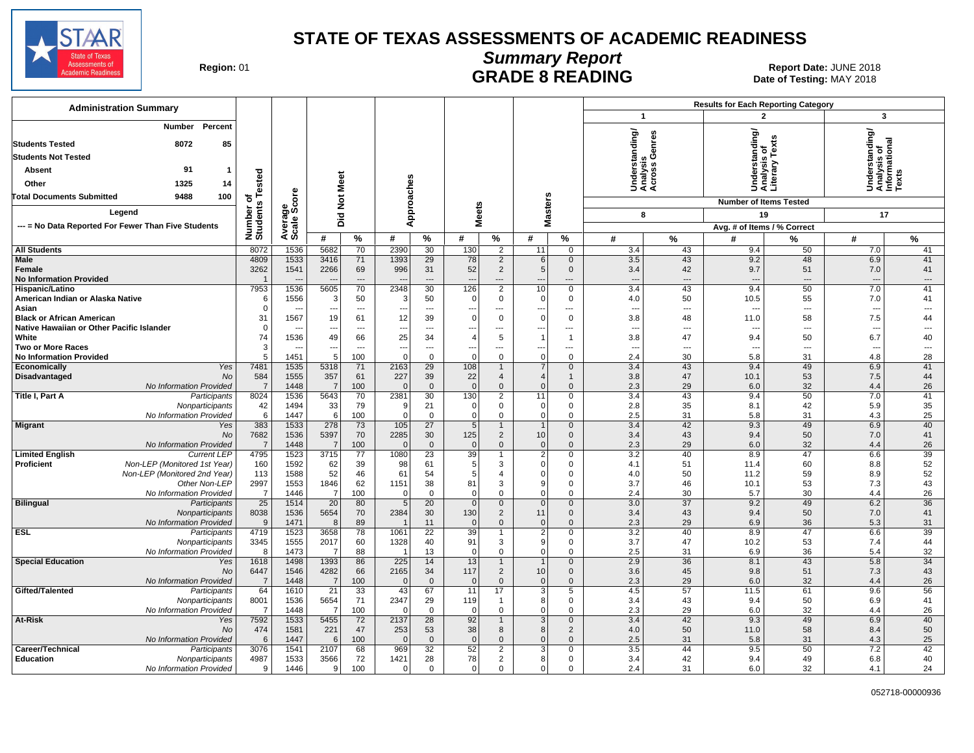

# **Summary Report**

Region: 01 **Region: 01 CALL BEADE 8 READING Report Date: JUNE 2018**<br>Bate of Testing: MAY 2018 Date of Testing: MAY 2018

| <b>Administration Summary</b>                                           |                         |                          |                                |                              |                          |                                 |                       |                                |                                      |                             |                                         |           | <b>Results for Each Reporting Category</b> |           |                                                         |                |  |
|-------------------------------------------------------------------------|-------------------------|--------------------------|--------------------------------|------------------------------|--------------------------|---------------------------------|-----------------------|--------------------------------|--------------------------------------|-----------------------------|-----------------------------------------|-----------|--------------------------------------------|-----------|---------------------------------------------------------|----------------|--|
|                                                                         |                         |                          |                                |                              |                          |                                 |                       |                                |                                      |                             | $\mathbf{1}$                            |           | $\mathbf{2}$                               |           | 3                                                       |                |  |
| Number<br>Percent<br>8072<br>85<br><b>Students Tested</b>               |                         |                          |                                |                              |                          |                                 |                       |                                |                                      |                             | nderstanding/<br>nalysis<br>poss Genres |           | nderstanding/<br>nalysis_of                |           | Understanding/<br>Analysis of<br>Informational<br>Texts |                |  |
| <b>Students Not Tested</b>                                              |                         |                          |                                |                              |                          |                                 |                       |                                |                                      |                             | ್ತ್ರ ಲೆ                                 |           |                                            | ۲ě        |                                                         |                |  |
| 91<br>Absent<br>$\mathbf 1$                                             |                         |                          |                                |                              |                          |                                 |                       |                                |                                      |                             |                                         |           |                                            | ≧         |                                                         |                |  |
| 1325<br>Other                                                           | of<br>s Tested          |                          |                                |                              |                          |                                 |                       |                                |                                      |                             |                                         |           | Under<br>Analy<br>Litera                   |           |                                                         |                |  |
| 14                                                                      |                         |                          |                                |                              |                          |                                 |                       |                                |                                      |                             | र्ड ई ई                                 |           |                                            |           |                                                         |                |  |
| 9488<br>100<br><b>Total Documents Submitted</b>                         |                         | ö                        | <b>Not Meet</b>                |                              |                          |                                 |                       |                                |                                      |                             |                                         |           | <b>Number of Items Tested</b>              |           |                                                         |                |  |
| Legend                                                                  |                         |                          |                                |                              | Approaches               |                                 | <b>Meets</b>          |                                | <b>Masters</b>                       |                             | 8                                       |           | 19                                         |           | 17                                                      |                |  |
| --- = No Data Reported For Fewer Than Five Students                     |                         |                          | Did                            |                              |                          |                                 |                       |                                |                                      |                             |                                         |           | Avg. # of Items / % Correct                |           |                                                         |                |  |
|                                                                         | Number of<br>Students   | Average<br>Scale Scc     | #                              | %                            | #                        | %                               | #                     | $\%$                           | #                                    | %                           | #                                       | $\%$      | #                                          | %         | #                                                       | $\%$           |  |
| <b>All Students</b>                                                     | 8072                    | 1536                     | 5682                           | 70                           | 2390                     | 30                              | 130                   | $\overline{2}$                 | 11                                   | $\mathbf 0$                 | 3.4                                     | 43        | 9.4                                        | 50        | 7.0                                                     | 41             |  |
| <b>Male</b>                                                             | 4809                    | 1533                     | 3416                           | 71                           | 1393                     | 29                              | 78                    | $\overline{2}$                 | 6                                    | $\mathbf 0$                 | 3.5                                     | 43        | 9.2                                        | 48        | 6.9                                                     | 41             |  |
| Female                                                                  | 3262                    | 1541                     | 2266                           | 69                           | 996                      | 31                              | 52                    | $\overline{2}$                 | 5                                    | $\mathbf 0$                 | 3.4                                     | 42        | 9.7                                        | 51        | 7.0                                                     | 41             |  |
| <b>No Information Provided</b>                                          | $\overline{\mathbf{1}}$ |                          |                                | $\overline{a}$               | $\overline{\phantom{a}}$ | $---$                           | $\overline{a}$        | ---                            | $\overline{a}$                       | $\overline{a}$              | $\overline{a}$                          | $---$     | $\overline{a}$                             | $---$     | $\overline{\phantom{a}}$                                | $\overline{a}$ |  |
| Hispanic/Latino                                                         | 7953                    | 1536                     | 5605                           | 70                           | 2348                     | 30                              | 126                   | $\overline{2}$                 | 10                                   | 0                           | 3.4                                     | 43        | 9.4                                        | 50        | 7.0                                                     | 41             |  |
| American Indian or Alaska Native                                        | 6<br>$\mathbf 0$        | 1556                     | 3                              | 50                           | Э                        | 50                              | -0                    | 0                              | $\overline{0}$                       | $\mathbf 0$                 | 4.0<br>$\overline{\phantom{a}}$         | 50<br>--- | 10.5<br>$\overline{a}$                     | 55<br>--- | 7.0<br>$\overline{\phantom{a}}$                         | 41<br>---      |  |
| Asian<br><b>Black or African American</b>                               | 31                      | 1567                     | $\overline{\phantom{a}}$<br>19 | $\qquad \qquad \cdots$<br>61 | ---<br>12                | ---<br>39                       | ---<br>$\Omega$       | ---<br>$\mathbf 0$             | $\overline{\phantom{a}}$<br>$\Omega$ | ---<br>$\mathbf 0$          | 3.8                                     | 48        | 11.0                                       | 58        | 7.5                                                     | 44             |  |
| Native Hawaiian or Other Pacific Islander                               | $\mathbf 0$             |                          | ---                            | $\overline{a}$               | ---                      | ---                             | ---                   | ---                            | $\overline{\phantom{a}}$             | ---                         | $\overline{\phantom{a}}$                | ---       | $\overline{\phantom{a}}$                   | ---       | ---                                                     | ---            |  |
| White                                                                   | 74                      | 1536                     | 49                             | 66                           | 25                       | 34                              | $\overline{4}$        | 5                              | $\overline{\phantom{0}}$             | -1                          | 3.8                                     | 47        | 9.4                                        | 50        | 6.7                                                     | 40             |  |
| <b>Two or More Races</b>                                                | 3                       | $\overline{\phantom{a}}$ | ---                            | $\overline{a}$               | $\overline{\phantom{a}}$ | ---                             | ---                   | ---                            | $\overline{\phantom{a}}$             | ---                         | $\overline{\phantom{a}}$                | ---       | $\overline{\phantom{a}}$                   | ---       | $\overline{\phantom{a}}$                                | ---            |  |
| <b>No Information Provided</b>                                          | 5                       | 1451                     | 5                              | 100                          | $\Omega$                 | $\Omega$                        | $\Omega$              | $\mathbf{0}$                   | $\overline{0}$                       | $\mathbf 0$                 | 2.4                                     | 30        | 5.8                                        | 31        | 4.8                                                     | 28             |  |
| Economically<br>Yes                                                     | 7481                    | 1535                     | 5318                           | 71                           | 2163                     | $\overline{29}$                 | 108                   | $\mathbf{1}$                   | $\overline{7}$                       | $\mathbf 0$                 | 3.4                                     | 43        | 9.4                                        | 49        | 6.9                                                     | 41             |  |
| Disadvantaged<br>No<br>No Information Provided                          | 584<br>$\overline{7}$   | 1555<br>1448             | 357<br>$\overline{7}$          | 61<br>100                    | 227<br>$\Omega$          | 39<br>$\mathbf{0}$              | 22<br>$\Omega$        | $\overline{4}$<br>$\mathbf{0}$ | $\overline{4}$<br>$\Omega$           | 1<br>$\mathbf{0}$           | 3.8<br>2.3                              | 47<br>29  | 10.1<br>6.0                                | 53<br>32  | 7.5<br>4.4                                              | 44<br>26       |  |
| Title I, Part A<br>Participants                                         | 8024                    | 1536                     | 5643                           | 70                           | 2381                     | 30                              | 130                   | $\overline{2}$                 | 11                                   | $\mathbf 0$                 | 3.4                                     | 43        | 9.4                                        | 50        | 7.0                                                     | 41             |  |
| Nonparticipants                                                         | 42                      | 1494                     | 33                             | 79                           | -9                       | 21                              | $\Omega$              | $\mathbf 0$                    | $\overline{0}$                       | $\mathbf 0$                 | 2.8                                     | 35        | 8.1                                        | 42        | 5.9                                                     | 35             |  |
| No Information Provided                                                 | 6                       | 1447                     | 6                              | 100                          | $\Omega$                 | $\mathbf 0$                     | $\Omega$              | $\mathbf 0$                    | $\mathbf 0$                          | $\mathbf 0$                 | 2.5                                     | 31        | 5.8                                        | 31        | 4.3                                                     | 25             |  |
| <b>Migrant</b><br>Yes                                                   | 383                     | 1533                     | 278                            | 73                           | 105                      | 27                              | $5\overline{5}$       | $\mathbf{1}$                   | $\overline{1}$                       | $\mathbf 0$                 | 3.4                                     | 42        | 9.3                                        | 49        | 6.9                                                     | 40             |  |
| <b>No</b>                                                               | 7682                    | 1536                     | 5397                           | 70                           | 2285                     | 30                              | 125                   | $\overline{2}$                 | 10                                   | $\mathbf 0$                 | 3.4                                     | 43        | 9.4                                        | 50        | 7.0                                                     | 41             |  |
| No Information Provided<br><b>Limited English</b><br><b>Current LEP</b> | $\overline{7}$<br>4795  | 1448<br>1523             | $\overline{7}$<br>3715         | 100<br>77                    | $\overline{0}$<br>1080   | $\mathbf{0}$<br>$\overline{23}$ | $\overline{0}$<br>39  | $\overline{0}$<br>1            | $\mathbf{0}$<br>$\overline{2}$       | $\mathbf{0}$<br>$\mathbf 0$ | 2.3<br>3.2                              | 29<br>40  | 6.0<br>8.9                                 | 32<br>47  | 4.4<br>6.6                                              | 26<br>39       |  |
| <b>Proficient</b><br>Non-LEP (Monitored 1st Year)                       | 160                     | 1592                     | 62                             | 39                           | 98                       | 61                              | 5                     | 3                              | $\Omega$                             | 0                           | 4.1                                     | 51        | 11.4                                       | 60        | 8.8                                                     | 52             |  |
| Non-LEP (Monitored 2nd Year)                                            | 113                     | 1588                     | 52                             | 46                           | 61                       | 54                              | 5                     | 4                              | $\Omega$                             | $\mathbf 0$                 | 4.0                                     | 50        | 11.2                                       | 59        | 8.9                                                     | 52             |  |
| Other Non-LEP                                                           | 2997                    | 1553                     | 1846                           | 62                           | 1151                     | 38                              | 81                    | 3                              | 9                                    | 0                           | 3.7                                     | 46        | 10.1                                       | 53        | 7.3                                                     | 43             |  |
| No Information Provided                                                 | $\overline{7}$          | 1446                     | $\overline{7}$                 | 100                          | $\Omega$                 | $\Omega$                        | $\Omega$              | $\mathbf 0$                    | $\Omega$                             | $\Omega$                    | 2.4                                     | 30        | 5.7                                        | 30        | 4.4                                                     | 26             |  |
| <b>Bilingual</b><br>Participants                                        | 25                      | 1514                     | 20                             | 80                           | $\overline{5}$           | 20                              | $\mathbf{0}$          | $\mathbf 0$                    | $\mathbf{0}$                         | $\mathbf 0$                 | 3.0                                     | 37        | 9.2                                        | 49        | 6.2                                                     | 36             |  |
| Nonparticipants<br>No Information Provided                              | 8038<br>9               | 1536<br>1471             | 5654<br>8                      | 70<br>89                     | 2384                     | 30<br>11                        | 130<br>$\overline{0}$ | $\overline{2}$<br>$\mathbf{0}$ | 11<br>$\overline{0}$                 | $\mathbf 0$<br>$\mathbf 0$  | 3.4<br>2.3                              | 43<br>29  | 9.4<br>6.9                                 | 50<br>36  | 7.0<br>5.3                                              | 41<br>31       |  |
| <b>ESL</b><br>Participants                                              | 4719                    | 1523                     | 3658                           | 78                           | 1061                     | $\overline{22}$                 | 39                    | 1                              | $\overline{2}$                       | 0                           | 3.2                                     | 40        | 8.9                                        | 47        | 6.6                                                     | 39             |  |
| Nonparticipants                                                         | 3345                    | 1555                     | 2017                           | 60                           | 1328                     | 40                              | 91                    | 3                              | 9                                    | 0                           | 3.7                                     | 47        | 10.2                                       | 53        | 7.4                                                     | 44             |  |
| No Information Provided                                                 | 8                       | 1473                     | 7                              | 88                           | $\overline{1}$           | 13                              | $\Omega$              | $\mathbf 0$                    | $\Omega$                             | $\mathbf 0$                 | 2.5                                     | 31        | 6.9                                        | 36        | 5.4                                                     | 32             |  |
| <b>Special Education</b><br>Yes                                         | 1618                    | 1498                     | 1393                           | 86                           | 225                      | 14                              | 13                    | $\mathbf{1}$                   | $\overline{1}$                       | $\mathbf 0$                 | 2.9                                     | 36        | 8.1                                        | 43        | 5.8                                                     | 34             |  |
| No                                                                      | 6447                    | 1546                     | 4282                           | 66                           | 2165                     | 34                              | 117                   | $\overline{2}$                 | 10                                   | $\mathbf 0$                 | 3.6                                     | 45        | 9.8                                        | 51        | 7.3                                                     | 43             |  |
| No Information Provided                                                 | $\overline{7}$          | 1448                     | $\overline{7}$                 | 100                          | $\overline{0}$           | $\mathbf 0$                     | $\overline{0}$        | $\mathbf 0$                    | $\overline{0}$                       | $\mathbf 0$                 | 2.3                                     | 29        | 6.0                                        | 32        | 4.4                                                     | 26             |  |
| Gifted/Talented<br>Participants<br>Nonparticipants                      | 64<br>8001              | 1610<br>1536             | $\overline{21}$<br>5654        | 33<br>71                     | 43<br>2347               | 67<br>29                        | 11<br>119             | 17<br>$\overline{1}$           | 3<br>8                               | 5<br>0                      | 4.5<br>3.4                              | 57<br>43  | 11.5<br>9.4                                | 61<br>50  | 9.6<br>6.9                                              | 56<br>41       |  |
| No Information Provided                                                 | $\overline{7}$          | 1448                     | $\overline{7}$                 | 100                          | - C                      | $\Omega$                        | $\Omega$              | $\mathbf 0$                    | $\Omega$                             | 0                           | 2.3                                     | 29        | 6.0                                        | 32        | 4.4                                                     | 26             |  |
| At-Risk<br>Yes                                                          | 7592                    | 1533                     | 5455                           | 72                           | 2137                     | 28                              | 92                    | $\mathbf{1}$                   | 3                                    | $\mathbf 0$                 | 3.4                                     | 42        | 9.3                                        | 49        | 6.9                                                     | 40             |  |
| No                                                                      | 474                     | 1581                     | 221                            | 47                           | 253                      | 53                              | 38                    | 8                              | 8                                    | $\overline{2}$              | 4.0                                     | 50        | 11.0                                       | 58        | 8.4                                                     | 50             |  |
| No Information Provided                                                 | 6                       | 1447                     | 6                              | 100                          | $\overline{0}$           | $\mathbf{0}$                    | $\overline{0}$        | $\mathbf{0}$                   | $\Omega$                             | $\mathbf{0}$                | 2.5                                     | 31        | 5.8                                        | 31        | 4.3                                                     | 25             |  |
| Career/Technical<br>Participants                                        | 3076                    | 1541                     | 2107                           | 68                           | 969                      | 32                              | 52                    | $\overline{2}$                 | 3                                    | 0                           | 3.5                                     | 44        | 9.5                                        | 50        | 7.2                                                     | 42             |  |
| <b>Education</b><br>Nonparticipants                                     | 4987                    | 1533                     | 3566                           | 72                           | 1421                     | 28                              | 78                    | $\overline{2}$                 | 8<br>$\Omega$                        | 0                           | 3.4                                     | 42        | 9.4                                        | 49        | 6.8                                                     | 40             |  |
| No Information Provided                                                 | 9                       | 1446                     | 9                              | 100                          | $\mathbf 0$              | $\mathbf 0$                     | $\mathbf 0$           | 0                              |                                      | $\mathbf 0$                 | 2.4                                     | 31        | 6.0                                        | 32        | 4.1                                                     | 24             |  |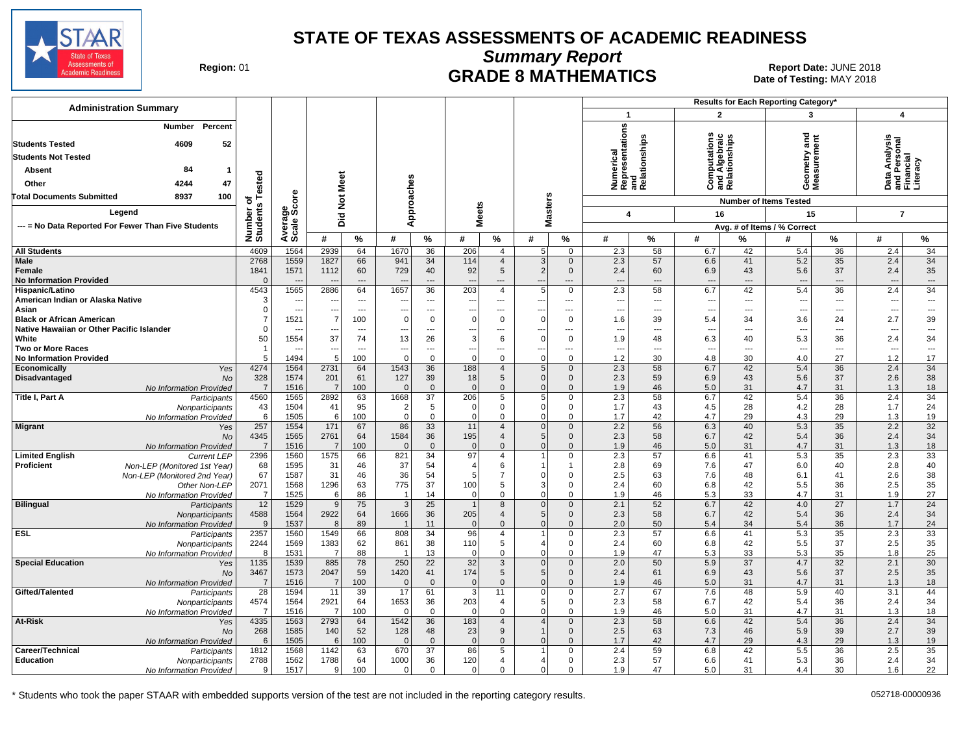

**Summary Report**

Region: 01 **Region: 01 CRADE 8 MATHEMATICS Date: JUNE 2018 Date: JUNE 2018** Date of Testing: MAY 2018

| <b>Administration Summary</b>                                                                  |                          |                                  |                                 |                                            |                        |                                 |                    |                                          |                                  |                                   |                                        | Results for Each Reporting Category'                 |                                                |                                            |                                        |                         |                                                        |                                   |
|------------------------------------------------------------------------------------------------|--------------------------|----------------------------------|---------------------------------|--------------------------------------------|------------------------|---------------------------------|--------------------|------------------------------------------|----------------------------------|-----------------------------------|----------------------------------------|------------------------------------------------------|------------------------------------------------|--------------------------------------------|----------------------------------------|-------------------------|--------------------------------------------------------|-----------------------------------|
|                                                                                                |                          |                                  |                                 |                                            |                        |                                 |                    |                                          |                                  |                                   | $\mathbf 1$                            |                                                      | $\overline{2}$                                 |                                            | 3                                      |                         | $\boldsymbol{4}$                                       |                                   |
| Percent<br><b>Number</b><br><b>Students Tested</b><br>52<br>4609<br><b>Students Not Tested</b> |                          |                                  |                                 |                                            |                        |                                 |                    |                                          |                                  |                                   |                                        | Numerical<br>Representations<br>and<br>Relationships | Computations<br>Ind Algebraic<br>Relationships |                                            | ъ<br>Ē<br>eometry<br>leasuremo         | ēπ                      | )ata Analysis<br>ınd Personal<br><sup>-</sup> inancial |                                   |
| 84<br><b>Absent</b>                                                                            |                          |                                  |                                 |                                            |                        |                                 |                    |                                          |                                  |                                   |                                        |                                                      |                                                |                                            |                                        |                         |                                                        |                                   |
| 4244<br>47<br>Other                                                                            | ested                    |                                  | Meet                            |                                            |                        |                                 |                    |                                          |                                  |                                   |                                        |                                                      | ت ≌ ت                                          |                                            | ⊙Σ                                     |                         |                                                        | and Pers<br>Financial<br>Literacy |
| <b>Total Documents Submitted</b><br>8937<br>100                                                |                          | <b>ore</b>                       |                                 |                                            | Approaches             |                                 |                    |                                          |                                  |                                   |                                        |                                                      |                                                |                                            |                                        |                         |                                                        |                                   |
| Legend                                                                                         | $\circ$                  |                                  | $\frac{5}{2}$                   |                                            |                        |                                 | leets              |                                          | <b>Masters</b>                   |                                   |                                        |                                                      | 16                                             |                                            | <b>Number of Items Tested</b><br>15    |                         |                                                        |                                   |
| --- = No Data Reported For Fewer Than Five Students                                            |                          |                                  | Did                             |                                            |                        |                                 | Σ                  |                                          |                                  |                                   | 4                                      |                                                      |                                                |                                            |                                        |                         | $\overline{7}$                                         |                                   |
|                                                                                                | Number o<br>Students     | Average<br>Scale Scc             | #                               | %                                          | #                      | $\%$                            | #                  | $\%$                                     | #                                | $\%$                              | #                                      | %                                                    | #                                              | %                                          | Avg. # of Items / % Correct<br>#       | $\%$                    | #                                                      | $\%$                              |
| <b>All Students</b>                                                                            | 4609                     | 1564                             | 2939                            | 64                                         | 1670                   | 36                              | 206                | $\overline{4}$                           | 5 <sup>1</sup>                   | $\mathbf 0$                       | 2.3                                    | 58                                                   | 6.7                                            | 42                                         | 5.4                                    | $\overline{36}$         | 2.4                                                    | 34                                |
| Male<br>Female<br><b>No Information Provided</b>                                               | 2768<br>1841<br>$\Omega$ | 1559<br>1571                     | 1827<br>1112<br>--              | 66<br>60<br>$\overline{a}$                 | 941<br>729             | 34<br>40<br>$\overline{a}$      | 114<br>92          | $\overline{4}$<br>$5\overline{)}$<br>--- | 3 <sup>1</sup><br>2 <br>---      | $\mathbf 0$<br>$\mathbf 0$<br>--- | 2.3<br>2.4<br>$\overline{\phantom{a}}$ | 57<br>60<br>---                                      | 6.6<br>6.9<br>$\overline{\phantom{a}}$         | 41<br>43<br>$---$                          | 5.2<br>5.6<br>$\overline{\phantom{a}}$ | 35<br>37<br>$\cdots$    | 2.4<br>2.4<br>$\overline{\phantom{a}}$                 | 34<br>35<br>$\cdots$              |
| Hispanic/Latino                                                                                | 4543                     | 1565                             | 2886                            | 64                                         | 1657                   | 36                              | 203                | $\overline{4}$                           | 5                                | $\mathbf 0$                       | 2.3                                    | 58                                                   | 6.7                                            | 42                                         | 5.4                                    | 36                      | 2.4                                                    | 34                                |
| American Indian or Alaska Native<br>Asian                                                      | 3<br>$\Omega$            | $\sim$                           | -44<br>$\overline{\phantom{a}}$ | $\overline{a}$<br>$\overline{\phantom{a}}$ |                        | $- - -$                         |                    | ---                                      | $\overline{a}$<br>---            | ---                               | $\overline{\phantom{a}}$               | ---<br>---                                           | $\overline{a}$                                 | $\overline{a}$<br>$\overline{\phantom{a}}$ | $\sim$<br>$\overline{a}$               | $---$<br>$\overline{a}$ | $\overline{\phantom{a}}$                               | $\overline{a}$                    |
| <b>Black or African American</b>                                                               |                          | $\hspace{0.05cm} \cdots$<br>1521 | 7                               | 100                                        | $\Omega$               | ---<br>$\Omega$                 | $\Omega$           | ---<br>$\mathbf 0$                       | $\mathbf 0$                      | ---<br>$\mathbf 0$                | $\overline{\phantom{a}}$<br>1.6        | 39                                                   | $\overline{\phantom{a}}$<br>5.4                | 34                                         | 3.6                                    | 24                      | ---<br>2.7                                             | ---<br>39                         |
| Native Hawaiian or Other Pacific Islander                                                      | 0                        |                                  |                                 | ---                                        |                        | ---                             |                    | ---                                      |                                  | ---                               | $\sim$                                 | ---                                                  | $\overline{\phantom{a}}$                       | $---$                                      | $\overline{\phantom{a}}$               | ---                     | $\sim$                                                 | ---                               |
| White                                                                                          | 50                       | 1554                             | 37                              | 74                                         | 13                     | 26                              | 3                  | 6                                        | $\mathbf 0$                      | $\mathbf 0$                       | 1.9                                    | 48                                                   | 6.3                                            | 40                                         | 5.3                                    | 36                      | 2.4                                                    | 34                                |
| <b>Two or More Races</b><br><b>No Information Provided</b>                                     | 5                        | $\overline{\phantom{a}}$<br>1494 | $\overline{\phantom{a}}$<br>5   | $\overline{\phantom{a}}$<br>100            | ---<br>$\Omega$        | ---<br>$\mathbf 0$              | ---<br>$\Omega$    | ---<br>$\mathbf 0$                       | ---<br>$\Omega$                  | ---<br>$\mathbf 0$                | ---<br>1.2                             | ---<br>30                                            | $\overline{\phantom{a}}$<br>4.8                | $\overline{\phantom{a}}$<br>30             | $\overline{\phantom{a}}$<br>4.0        | $\overline{a}$<br>27    | $\overline{\phantom{a}}$<br>1.2                        | $\overline{\phantom{a}}$<br>17    |
| Yes<br>Economically                                                                            | 4274                     | 1564                             | 2731                            | 64                                         | 1543                   | 36                              | 188                | $\overline{4}$                           | 5 <sub>1</sub>                   | $\mathbf 0$                       | 2.3                                    | 58                                                   | 6.7                                            | 42                                         | 5.4                                    | 36                      | 2.4                                                    | 34                                |
| Disadvantaged<br><b>No</b>                                                                     | 328                      | 1574                             | 201                             | 61                                         | 127                    | 39                              | 18                 | 5                                        | 0                                | $\mathbf 0$                       | 2.3                                    | 59                                                   | 6.9                                            | 43                                         | 5.6                                    | 37                      | 2.6                                                    | 38                                |
| No Information Provided                                                                        | $\overline{7}$           | 1516                             | $\overline{7}$<br>2892          | 100                                        | $\Omega$               | $\mathbf{0}$<br>$\overline{37}$ | $\Omega$           | $\mathbf 0$<br>5                         | $\mathbf{0}$                     | $\mathbf 0$                       | 1.9                                    | 46<br>58                                             | 5.0                                            | 31<br>42                                   | 4.7<br>5.4                             | 31                      | 1.3<br>2.4                                             | 18<br>$\overline{34}$             |
| Title I, Part A<br>Participants<br>Nonparticipants                                             | 4560<br>43               | 1565<br>1504                     | 41                              | 63<br>95                                   | 1668<br>$\overline{2}$ | 5                               | 206<br>0           | 0                                        | 5 <sup>5</sup><br>$\mathbf 0$    | $\mathbf 0$<br>$\mathbf 0$        | 2.3<br>1.7                             | 43                                                   | 6.7<br>4.5                                     | 28                                         | 4.2                                    | 36<br>28                | 1.7                                                    | 24                                |
| No Information Provided                                                                        | 6                        | 1505                             | -61                             | 100                                        | $\Omega$               | $\Omega$                        | $\Omega$           | $\Omega$                                 | $\Omega$                         | $\mathbf 0$                       | 1.7                                    | 42                                                   | 4.7                                            | 29                                         | 4.3                                    | 29                      | 1.3                                                    | 19                                |
| <b>Migrant</b><br>Yes                                                                          | 257                      | 1554                             | 171                             | 67                                         | 86                     | 33                              | 11                 | $\overline{4}$                           | $\mathbf{0}$                     | $\Omega$                          | 2.2                                    | 56                                                   | 6.3                                            | 40                                         | 5.3                                    | 35                      | 2.2                                                    | 32                                |
| No<br>No Information Provided                                                                  | 4345<br>$\overline{7}$   | 1565<br>1516                     | 2761<br>$\overline{7}$          | 64<br>100                                  | 1584<br>$\Omega$       | 36<br>$\mathbf{0}$              | 195<br>$\Omega$    | $\overline{4}$<br>$\Omega$               | 5 <sup>1</sup><br>$\Omega$       | $\mathbf 0$<br>$\mathbf{0}$       | 2.3<br>1.9                             | 58<br>46                                             | 6.7<br>5.0                                     | 42<br>31                                   | 5.4<br>4.7                             | 36<br>31                | 2.4<br>1.3                                             | 34<br>18                          |
| <b>Limited English</b><br><b>Current LEP</b>                                                   | 2396                     | 1560                             | 1575                            | 66                                         | 821                    | 34                              | 97                 | 4                                        |                                  | $\mathbf 0$                       | 2.3                                    | 57                                                   | 6.6                                            | 41                                         | 5.3                                    | 35                      | 2.3                                                    | 33                                |
| Proficient<br>Non-LEP (Monitored 1st Year)                                                     | 68                       | 1595                             | 31                              | 46                                         | 37                     | 54                              | 4                  | 6                                        | 1                                | $\mathbf 1$                       | 2.8                                    | 69                                                   | 7.6                                            | 47                                         | 6.0                                    | 40                      | 2.8                                                    | 40                                |
| Non-LEP (Monitored 2nd Year)                                                                   | 67                       | 1587                             | 31                              | 46                                         | 36                     | 54                              | 5                  | $\overline{7}$                           | $\mathbf 0$                      | $\mathbf 0$                       | 2.5                                    | 63                                                   | 7.6                                            | 48                                         | 6.1                                    | 41                      | 2.6                                                    | 38                                |
| Other Non-LEP<br>No Information Provided                                                       | 2071<br>$\overline{7}$   | 1568<br>1525                     | 1296<br>$6 \mid$                | 63<br>86                                   | 775<br>$\overline{1}$  | 37<br>14                        | 100<br>$\mathbf 0$ | 5<br>0                                   | 3 <sup>1</sup><br>$\mathbf 0$    | $\mathbf 0$<br>$\mathbf 0$        | 2.4<br>1.9                             | 60<br>46                                             | 6.8<br>5.3                                     | 42<br>33                                   | 5.5<br>4.7                             | 36<br>31                | 2.5<br>1.9                                             | 35<br>27                          |
| <b>Bilingual</b><br>Participants                                                               | 12                       | 1529                             | 9                               | 75                                         | 3                      | 25                              | $\mathbf{1}$       | 8                                        | $\overline{0}$                   | $\mathbf 0$                       | 2.1                                    | 52                                                   | 6.7                                            | 42                                         | 4.0                                    | 27                      | 1.7                                                    | 24                                |
| Nonparticipants                                                                                | 4588                     | 1564                             | 2922                            | 64                                         | 1666                   | 36                              | 205                | $\overline{4}$                           | 5 <sup>5</sup>                   | $\mathbf 0$                       | 2.3                                    | 58                                                   | 6.7                                            | 42                                         | 5.4                                    | 36                      | 2.4                                                    | 34                                |
| No Information Provided                                                                        | 9                        | 1537                             | 8                               | 89                                         |                        | 11                              | $\Omega$           | $\Omega$                                 | $\Omega$                         | $\mathbf 0$                       | 2.0                                    | 50                                                   | 5.4                                            | 34                                         | 5.4                                    | 36                      | 1.7                                                    | 24                                |
| <b>ESL</b><br>Participants<br>Nonparticipants                                                  | 2357<br>2244             | 1560<br>1569                     | 1549<br>1383                    | 66<br>62                                   | 808<br>861             | 34<br>38                        | 96<br>110          | $\overline{4}$<br>5                      | 4 <sup>1</sup>                   | $\Omega$<br>$\mathbf 0$           | 2.3<br>2.4                             | 57<br>60                                             | 6.6<br>6.8                                     | 41<br>42                                   | 5.3<br>5.5                             | 35<br>37                | 2.3<br>2.5                                             | 33<br>35                          |
| No Information Provided                                                                        | - 8                      | 1531                             | $\overline{7}$                  | 88                                         | -1                     | 13                              | $\Omega$           | $\mathbf{0}$                             | $\Omega$                         | $\mathbf 0$                       | 1.9                                    | 47                                                   | 5.3                                            | 33                                         | 5.3                                    | 35                      | 1.8                                                    | 25                                |
| <b>Special Education</b><br>Yes                                                                | 1135                     | 1539                             | 885                             | 78                                         | 250                    | $\overline{22}$                 | 32                 | 3                                        | $\mathbf{0}$                     | $\mathbf 0$                       | 2.0                                    | 50                                                   | 5.9                                            | 37                                         | 4.7                                    | 32                      | 2.1                                                    | 30                                |
| No                                                                                             | 3467                     | 1573                             | 2047                            | 59                                         | 1420                   | 41                              | 174                | 5                                        | 5 <sup>1</sup>                   | $\mathbf 0$                       | 2.4                                    | 61                                                   | 6.9                                            | 43                                         | 5.6                                    | 37                      | 2.5                                                    | 35                                |
| No Information Provided<br>Gifted/Talented<br>Participants                                     | $\overline{7}$<br>28     | 1516<br>1594                     | $\overline{7}$<br>11            | 100<br>39                                  | $\Omega$<br>17         | $\mathbf{0}$<br>61              | $\mathbf 0$<br>3   | $\mathbf 0$<br>11                        | $\overline{0}$<br>$\overline{0}$ | $\mathbf 0$<br>$\mathbf 0$        | 1.9<br>2.7                             | 46<br>67                                             | 5.0<br>7.6                                     | 31<br>48                                   | 4.7<br>5.9                             | 31<br>40                | 1.3<br>3.1                                             | 18<br>44                          |
| Nonparticipants                                                                                | 4574                     | 1564                             | 2921                            | 64                                         | 1653                   | 36                              | 203                | $\overline{4}$                           | 5 <sup>5</sup>                   | $\mathbf 0$                       | 2.3                                    | 58                                                   | 6.7                                            | 42                                         | 5.4                                    | 36                      | 2.4                                                    | 34                                |
| No Information Provided                                                                        | $\overline{7}$           | 1516                             | 7                               | 100                                        | $\Omega$               | $\mathbf 0$                     | $\Omega$           | $\mathbf 0$                              | $\mathbf 0$                      | $\mathbf 0$                       | 1.9                                    | 46                                                   | 5.0                                            | 31                                         | 4.7                                    | 31                      | 1.3                                                    | 18                                |
| At-Risk<br>Yes                                                                                 | 4335                     | 1563                             | 2793                            | 64                                         | 1542                   | 36                              | 183                | $\overline{4}$                           | 4 <sup>1</sup>                   | $\mathbf 0$                       | 2.3                                    | 58                                                   | 6.6                                            | 42                                         | 5.4                                    | 36                      | 2.4                                                    | 34                                |
| No<br>No Information Provided                                                                  | 268<br>6                 | 1585<br>1505                     | 140<br>6                        | 52<br>100                                  | 128<br>$\Omega$        | 48<br>$\Omega$                  | 23<br>$\Omega$     | 9<br>$\Omega$                            | 1<br>$\Omega$                    | $\mathbf 0$<br>$\Omega$           | 2.5<br>1.7                             | 63<br>42                                             | 7.3<br>4.7                                     | 46<br>29                                   | 5.9<br>4.3                             | 39<br>29                | 2.7<br>1.3                                             | 39<br>19                          |
| Career/Technical<br>Participants                                                               | 1812                     | 1568                             | 1142                            | 63                                         | 670                    | 37                              | 86                 | 5                                        |                                  | $\Omega$                          | 2.4                                    | 59                                                   | 6.8                                            | 42                                         | 5.5                                    | 36                      | 2.5                                                    | 35                                |
| <b>Education</b><br>Nonparticipants                                                            | 2788                     | 1562                             | 1788                            | 64                                         | 1000                   | 36                              | 120                | 4                                        | 4                                | 0                                 | 2.3                                    | 57                                                   | 6.6                                            | 41                                         | 5.3                                    | 36                      | 2.4                                                    | 34                                |
| No Information Provided                                                                        | 9                        | 1517                             | $9 \mid$                        | 100                                        | $\Omega$               | $\mathbf 0$                     | $\Omega$           | $\Omega$                                 | $\overline{0}$                   | $\mathbf 0$                       | 1.9                                    | 47                                                   | 5.0                                            | 31                                         | 4.4                                    | 30                      | 1.6                                                    | 22                                |

\* Students who took the paper STAAR with embedded supports version of the test are not included in the reporting category results. 052718-00000936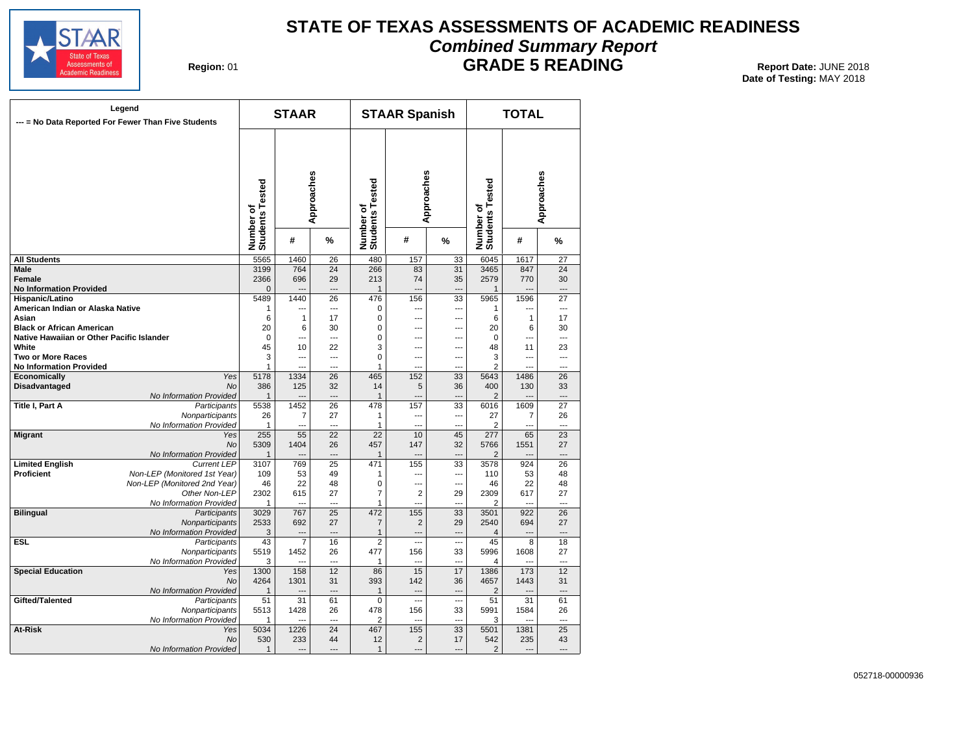

# **STATE OF TEXAS ASSESSMENTS OF ACADEMIC READINESS Combined Summary Report**

**Region: 01** 

**GRADE 5 READING** Report Date: JUNE 2018

**Date of Testing:**  MAY 2018

| --- = No Data Reported For Fewer Than Five Students | Legend                                  |                              | <b>STAAR</b>          |                      |                              | <b>STAAR Spanish</b>     |                 |                              | <b>TOTAL</b>          |                 |
|-----------------------------------------------------|-----------------------------------------|------------------------------|-----------------------|----------------------|------------------------------|--------------------------|-----------------|------------------------------|-----------------------|-----------------|
|                                                     |                                         | Number of<br>Students Tested |                       | Approaches           | Number of<br>Students Tested | Approaches               |                 | Number of<br>Students Tested |                       | Approaches      |
|                                                     |                                         |                              | #                     | %                    |                              | #                        | %               |                              | #                     | %               |
| <b>All Students</b>                                 |                                         | 5565                         | 1460                  | 26                   | 480                          | 157                      | 33              | 6045                         | 1617                  | $\overline{27}$ |
| <b>Male</b>                                         |                                         | 3199                         | 764                   | $\overline{24}$      | 266                          | 83                       | $\overline{31}$ | 3465                         | 847                   | 24              |
| <b>Female</b><br><b>No Information Provided</b>     |                                         | 2366<br>$\mathbf 0$          | 696<br>---            | 29<br>$\overline{a}$ | 213<br>$\mathbf{1}$          | 74<br>Ξ.,                | 35<br>---       | 2579<br>$\mathbf{1}$         | 770<br>---            | 30              |
| Hispanic/Latino                                     |                                         | 5489                         | 1440                  | 26                   | 476                          | 156                      | 33              | 5965                         | 1596                  | 27              |
| American Indian or Alaska Native                    |                                         | $\mathbf{1}$                 | ---                   | ---                  | 0                            | ---                      | ---             | $\mathbf 1$                  | ---                   | $\overline{a}$  |
| Asian                                               |                                         | 6                            | $\mathbf{1}$          | 17                   | 0                            | $\sim$                   | ---             | 6                            | 1                     | 17              |
| <b>Black or African American</b>                    |                                         | 20                           | 6                     | 30                   | 0                            | ---                      | ---             | 20                           | 6                     | 30              |
| Native Hawaiian or Other Pacific Islander           |                                         | $\mathbf 0$                  | ---                   | $\overline{a}$       | 0                            | ---                      | ---             | $\Omega$                     | ---                   | ---             |
| White                                               |                                         | 45                           | 10                    | 22                   | 3                            | $\overline{\phantom{a}}$ | ---             | 48                           | 11                    | 23              |
| <b>Two or More Races</b>                            |                                         | 3                            | ---                   | ---                  | 0                            | ---                      | ---             | 3                            | ---                   | ---             |
| <b>No Information Provided</b>                      |                                         | 1                            |                       | $\sim$               | $\mathbf{1}$                 | $\sim$                   | ---             | $\overline{2}$               |                       | ---             |
| Economically                                        | Yes                                     | 5178                         | 1334                  | 26                   | 465                          | 152                      | 33              | 5643                         | 1486                  | 26              |
| Disadvantaged                                       | No                                      | 386                          | 125                   | 32<br>---            | 14                           | 5<br>$\overline{a}$      | 36              | 400                          | 130                   | 33              |
| <b>Title I, Part A</b>                              | No Information Provided<br>Participants | $\mathbf{1}$<br>5538         | 1452                  | 26                   | $\mathbf{1}$<br>478          | 157                      | 33              | $\overline{2}$<br>6016       | 1609                  | 27              |
|                                                     | Nonparticipants                         | 26                           | 7                     | 27                   | 1                            | ---                      | ---             | 27                           | 7                     | 26              |
|                                                     | No Information Provided                 | $\mathbf{1}$                 | $\overline{a}$        | $\overline{a}$       | 1                            | $\overline{a}$           | ---             | 2                            | ---                   | $\overline{a}$  |
| <b>Migrant</b>                                      | Yes                                     | 255                          | 55                    | $\overline{22}$      | $\overline{22}$              | 10                       | 45              | $\overline{277}$             | 65                    | $\overline{23}$ |
|                                                     | <b>No</b>                               | 5309                         | 1404                  | 26                   | 457                          | 147                      | 32              | 5766                         | 1551                  | 27              |
|                                                     | No Information Provided                 | $\mathbf{1}$                 | $---$                 | $\overline{a}$       | $\mathbf{1}$                 | $\overline{a}$           | ---             | $\overline{2}$               | $\overline{a}$        | $---$           |
| <b>Limited English</b>                              | <b>Current LEP</b>                      | 3107                         | 769                   | 25                   | 471                          | 155                      | 33              | 3578                         | 924                   | 26              |
| <b>Proficient</b>                                   | Non-LEP (Monitored 1st Year)            | 109                          | 53                    | 49                   | 1                            | ---                      | ---             | 110                          | 53                    | 48              |
|                                                     | Non-LEP (Monitored 2nd Year)            | 46                           | 22                    | 48                   | 0                            | ---                      | ---             | 46                           | 22                    | 48              |
|                                                     | Other Non-LEP                           | 2302                         | 615                   | 27                   | 7                            | $\overline{2}$           | 29              | 2309                         | 617                   | 27              |
|                                                     | No Information Provided                 | 1                            | $\overline{a}$        | $\overline{a}$       | 1                            | $\overline{a}$           | ---             | 2                            | ---                   | $\overline{a}$  |
| <b>Bilingual</b>                                    | Participants                            | 3029                         | 767                   | $\overline{25}$      | 472                          | 155                      | $\overline{33}$ | 3501                         | 922                   | 26              |
|                                                     | Nonparticipants                         | 2533                         | 692                   | 27                   | $\overline{7}$               | $\overline{2}$           | 29              | 2540                         | 694                   | 27              |
|                                                     | No Information Provided                 | 3                            | $\overline{a}$        | $-$                  | $\mathbf{1}$                 | $\overline{a}$           | ---             | $\overline{4}$               | ---                   |                 |
| <b>ESL</b>                                          | Participants                            | 43                           | $\overline{7}$        | 16                   | 2                            | $\overline{a}$           | $\overline{a}$  | 45                           | 8                     | 18              |
|                                                     | Nonparticipants                         | 5519                         | 1452                  | 26                   | 477                          | 156                      | 33              | 5996                         | 1608                  | 27              |
|                                                     | No Information Provided                 | 3                            |                       | $\sim$               | 1                            | $\overline{a}$           | ---             | 4                            |                       | $\overline{a}$  |
| <b>Special Education</b>                            | Yes                                     | 1300                         | 158                   | 12                   | 86                           | 15                       | 17              | 1386                         | 173                   | 12              |
|                                                     | <b>No</b>                               | 4264                         | 1301                  | 31                   | 393                          | 142                      | 36              | 4657                         | 1443                  | 31              |
|                                                     | No Information Provided                 | $\overline{1}$               |                       | $\overline{a}$       | $\mathbf{1}$                 | $\overline{a}$           | $\overline{a}$  | $\overline{2}$               |                       |                 |
| Gifted/Talented                                     | Participants                            | 51                           | 31                    | 61                   | 0                            | $\overline{a}$           | ---             | 51                           | 31                    | 61              |
|                                                     | Nonparticipants                         | 5513                         | 1428                  | 26<br>---            | 478                          | 156                      | 33              | 5991                         | 1584<br>              | 26              |
|                                                     | No Information Provided                 | $\mathbf{1}$                 | ---                   |                      | $\overline{2}$               | μ.,                      | ---             | 3                            |                       | ---             |
| At-Risk                                             | Yes<br><b>No</b>                        | 5034                         | 1226                  | 24                   | 467                          | 155                      | 33              | 5501                         | 1381                  | 25              |
|                                                     | No Information Provided                 | 530<br>$\mathbf{1}$          | 233<br>$\overline{a}$ | 44<br>$\overline{a}$ | 12<br>$\mathbf{1}$           | $\overline{2}$<br>---    | 17<br>---       | 542<br>$\overline{2}$        | 235<br>$\overline{a}$ | 43<br>---       |
|                                                     |                                         |                              |                       |                      |                              |                          |                 |                              |                       |                 |